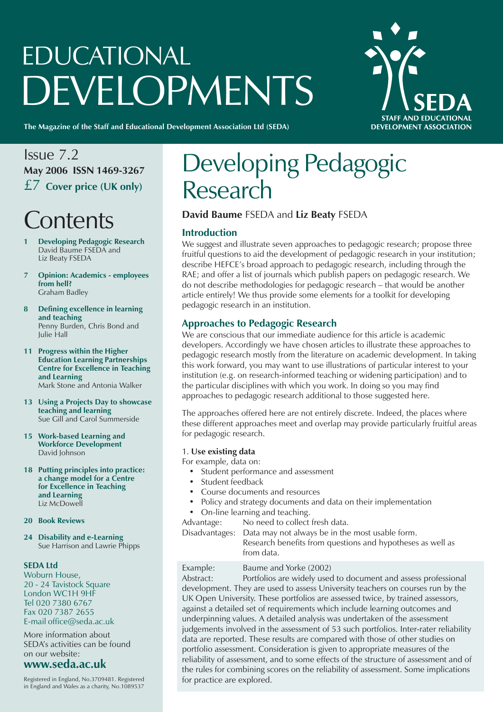# EDUCATIONAL **DEVELOPMENTS**



**The Magazine of the Staff and Educational Development Association Ltd (SEDA)**

### Issue 7.2 **May 2006 ISSN 1469-3267** £7 **Cover price (UK only)**

### **Contents**

- **1 Developing Pedagogic Research** David Baume FSEDA and Liz Beaty FSEDA
- **7 Opinion: Academics employees from hell?** Graham Badley
- **8 Defining excellence in learning and teaching** Penny Burden, Chris Bond and Julie Hall
- **11 Progress within the Higher Education Learning Partnerships Centre for Excellence in Teaching and Learning** Mark Stone and Antonia Walker
- **13 Using a Projects Day to showcase teaching and learning** Sue Gill and Carol Summerside
- **15 Work-based Learning and Workforce Development** David Johnson
- **18 Putting principles into practice: a change model for a Centre for Excellence in Teaching and Learning** Liz McDowell
- **20 Book Reviews**

**24 Disability and e-Learning** Sue Harrison and Lawrie Phipps

### **SEDA Ltd**

Woburn House, 20 - 24 Tavistock Square London WC1H 9HF Tel 020 7380 6767 Fax 020 7387 2655 E-mail office@seda.ac.uk

More information about SEDA's activities can be found on our website:

### **www.seda.ac.uk**

Registered in England, No.3709481. Registered in England and Wales as a charity, No.1089537

### Developing Pedagogic Research

### **David Baume** FSEDA and **Liz Beaty** FSEDA

### **Introduction**

We suggest and illustrate seven approaches to pedagogic research; propose three fruitful questions to aid the development of pedagogic research in your institution; describe HEFCE's broad approach to pedagogic research, including through the RAE; and offer a list of journals which publish papers on pedagogic research. We do not describe methodologies for pedagogic research – that would be another article entirely! We thus provide some elements for a toolkit for developing pedagogic research in an institution.

### **Approaches to Pedagogic Research**

We are conscious that our immediate audience for this article is academic developers. Accordingly we have chosen articles to illustrate these approaches to pedagogic research mostly from the literature on academic development. In taking this work forward, you may want to use illustrations of particular interest to your institution (e.g. on research-informed teaching or widening participation) and to the particular disciplines with which you work. In doing so you may find approaches to pedagogic research additional to those suggested here.

The approaches offered here are not entirely discrete. Indeed, the places where these different approaches meet and overlap may provide particularly fruitful areas for pedagogic research.

### 1. **Use existing data**

For example, data on:

- Student performance and assessment
- Student feedback
- Course documents and resources
- Policy and strategy documents and data on their implementation
- On-line learning and teaching.

Advantage: No need to collect fresh data.

Disadvantages: Data may not always be in the most usable form.

Research benefits from questions and hypotheses as well as from data.

### Example: Baume and Yorke (2002)

Abstract: Portfolios are widely used to document and assess professional development. They are used to assess University teachers on courses run by the UK Open University. These portfolios are assessed twice, by trained assessors, against a detailed set of requirements which include learning outcomes and underpinning values. A detailed analysis was undertaken of the assessment judgements involved in the assessment of 53 such portfolios. Inter-rater reliability data are reported. These results are compared with those of other studies on portfolio assessment. Consideration is given to appropriate measures of the reliability of assessment, and to some effects of the structure of assessment and of the rules for combining scores on the reliability of assessment. Some implications for practice are explored.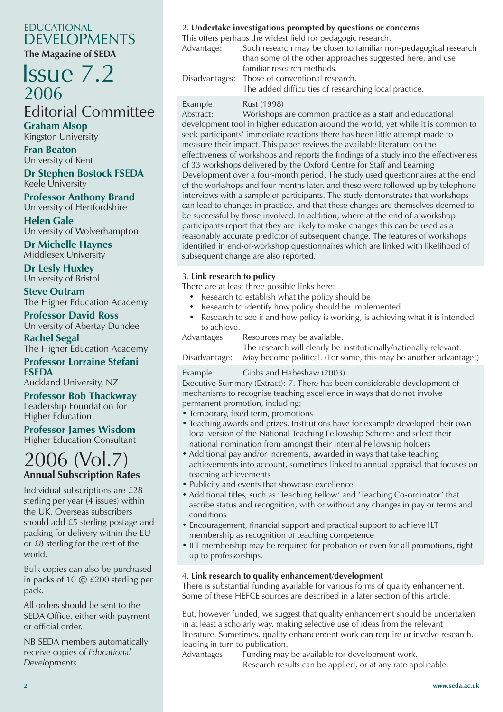### EDUCATIONAL DEVELOPMENTS

**The Magazine of SEDA**

### Issue 7.2 2006 Editorial Committee

**Graham Alsop** Kingston University

**Fran Beaton** University of Kent **Dr Stephen Bostock FSEDA**

Keele University

**Professor Anthony Brand** University of Hertfordshire

**Helen Gale** University of Wolverhampton

**Dr Michelle Haynes** Middlesex University

**Dr Lesly Huxley** University of Bristol

**Steve Outram** The Higher Education Academy

**Professor David Ross** University of Abertay Dundee

**Rachel Segal** The Higher Education Academy

### **Professor Lorraine Stefani FSEDA**

Auckland University, NZ

### **Professor Bob Thackwray**

Leadership Foundation for Higher Education

#### **Professor James Wisdom** Higher Education Consultant

### 2006 (Vol.7) **Annual Subscription Rates**

Individual subscriptions are £28 sterling per year (4 issues) within the UK. Overseas subscribers should add £5 sterling postage and packing for delivery within the EU or £8 sterling for the rest of the world.

Bulk copies can also be purchased in packs of 10 @ £200 sterling per pack.

All orders should be sent to the SEDA Office, either with payment or official order.

NB SEDA members automatically receive copies of *Educational Developments.*

### 2. **Undertake investigations prompted by questions or concerns**

This offers perhaps the widest field for pedagogic research.

Advantage: Such research may be closer to familiar non-pedagogical research than some of the other approaches suggested here, and use familiar research methods. Disadvantages: Those of conventional research.

The added difficulties of researching local practice.

Example: Rust (1998)

Abstract: Workshops are common practice as a staff and educational development tool in higher education around the world, yet while it is common to seek participants' immediate reactions there has been little attempt made to measure their impact. This paper reviews the available literature on the effectiveness of workshops and reports the findings of a study into the effectiveness of 33 workshops delivered by the Oxford Centre for Staff and Learning Development over a four-month period. The study used questionnaires at the end of the workshops and four months later, and these were followed up by telephone interviews with a sample of participants. The study demonstrates that workshops can lead to changes in practice, and that these changes are themselves deemed to be successful by those involved. In addition, where at the end of a workshop participants report that they are likely to make changes this can be used as a reasonably accurate predictor of subsequent change. The features of workshops identified in end-of-workshop questionnaires which are linked with likelihood of subsequent change are also reported.

### 3. **Link research to policy**

There are at least three possible links here:

- Research to establish what the policy should be
- Research to identify how policy should be implemented
- Research to see if and how policy is working, is achieving what it is intended to achieve.

Advantages: Resources may be available.

The research will clearly be institutionally/nationally relevant. Disadvantage: May become political. (For some, this may be another advantage!)

### Example: Gibbs and Habeshaw (2003)

Executive Summary (Extract): 7. There has been considerable development of mechanisms to recognise teaching excellence in ways that do not involve permanent promotion, including:

- Temporary, fixed term, promotions
- Teaching awards and prizes. Institutions have for example developed their own local version of the National Teaching Fellowship Scheme and select their national nomination from amongst their internal Fellowship holders
- Additional pay and/or increments, awarded in ways that take teaching achievements into account, sometimes linked to annual appraisal that focuses on teaching achievements
- Publicity and events that showcase excellence
- Additional titles, such as 'Teaching Fellow' and 'Teaching Co-ordinator' that ascribe status and recognition, with or without any changes in pay or terms and conditions
- Encouragement, financial support and practical support to achieve ILT membership as recognition of teaching competence
- ILT membership may be required for probation or even for all promotions, right up to professorships.

### 4. **Link research to quality enhancement/development**

There is substantial funding available for various forms of quality enhancement. Some of these HEFCE sources are described in a later section of this article.

But, however funded, we suggest that quality enhancement should be undertaken in at least a scholarly way, making selective use of ideas from the relevant literature. Sometimes, quality enhancement work can require or involve research, leading in turn to publication.

Advantages: Funding may be available for development work. Research results can be applied, or at any rate applicable.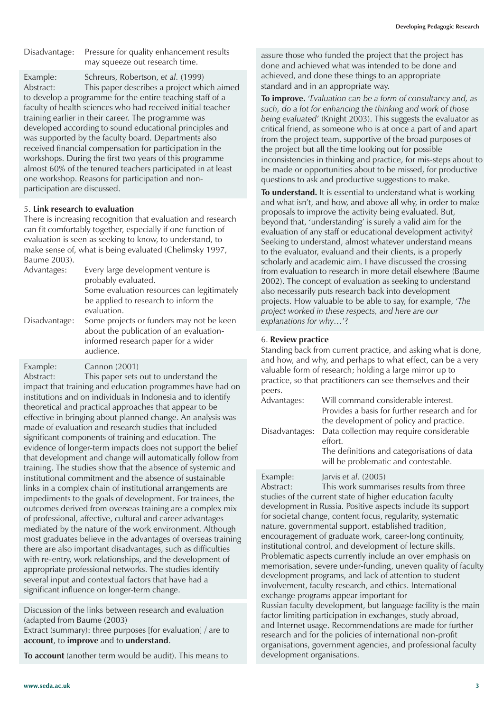Disadvantage: Pressure for quality enhancement results may squeeze out research time.

Example: Schreurs, Robertson, *et al.* (1999) Abstract: This paper describes a project which aimed to develop a programme for the entire teaching staff of a faculty of health sciences who had received initial teacher training earlier in their career. The programme was developed according to sound educational principles and was supported by the faculty board. Departments also received financial compensation for participation in the workshops. During the first two years of this programme almost 60% of the tenured teachers participated in at least one workshop. Reasons for participation and nonparticipation are discussed.

#### 5. **Link research to evaluation**

There is increasing recognition that evaluation and research can fit comfortably together, especially if one function of evaluation is seen as seeking to know, to understand, to make sense of, what is being evaluated (Chelimsky 1997, Baume 2003).

| Advantages:   | Every large development venture is<br>probably evaluated.<br>Some evaluation resources can legitimately<br>be applied to research to inform the<br>evaluation. |  |
|---------------|----------------------------------------------------------------------------------------------------------------------------------------------------------------|--|
| Disadvantage: | Some projects or funders may not be keen<br>about the publication of an evaluation-<br>informed research paper for a wider<br>audience.                        |  |

Example: Cannon (2001)

Abstract: This paper sets out to understand the impact that training and education programmes have had on institutions and on individuals in Indonesia and to identify theoretical and practical approaches that appear to be effective in bringing about planned change. An analysis was made of evaluation and research studies that included significant components of training and education. The evidence of longer-term impacts does not support the belief that development and change will automatically follow from training. The studies show that the absence of systemic and institutional commitment and the absence of sustainable links in a complex chain of institutional arrangements are impediments to the goals of development. For trainees, the outcomes derived from overseas training are a complex mix of professional, affective, cultural and career advantages mediated by the nature of the work environment. Although most graduates believe in the advantages of overseas training there are also important disadvantages, such as difficulties with re-entry, work relationships, and the development of appropriate professional networks. The studies identify several input and contextual factors that have had a significant influence on longer-term change.

Discussion of the links between research and evaluation (adapted from Baume (2003) Extract (summary): three purposes [for evaluation] / are to

**account**, to **improve** and to **understand**.

**To account** (another term would be audit). This means to

assure those who funded the project that the project has done and achieved what was intended to be done and achieved, and done these things to an appropriate standard and in an appropriate way.

**To improve.** '*Evaluation can be a form of consultancy and, as such, do a lot for enhancing the thinking and work of those being evaluated*' (Knight 2003). This suggests the evaluator as critical friend, as someone who is at once a part of and apart from the project team, supportive of the broad purposes of the project but all the time looking out for possible inconsistencies in thinking and practice, for mis-steps about to be made or opportunities about to be missed, for productive questions to ask and productive suggestions to make.

**To understand.** It is essential to understand what is working and what isn't, and how, and above all why, in order to make proposals to improve the activity being evaluated. But, beyond that, 'understanding' is surely a valid aim for the evaluation of any staff or educational development activity? Seeking to understand, almost whatever understand means to the evaluator, evaluand and their clients, is a properly scholarly and academic aim. I have discussed the crossing from evaluation to research in more detail elsewhere (Baume 2002). The concept of evaluation as seeking to understand also necessarily puts research back into development projects. How valuable to be able to say, for example, '*The project worked in these respects, and here are our explanations for why…*'?

#### 6. **Review practice**

Standing back from current practice, and asking what is done, and how, and why, and perhaps to what effect, can be a very valuable form of research; holding a large mirror up to practice, so that practitioners can see themselves and their peers.

| Advantages:    | Will command considerable interest.<br>Provides a basis for further research and for           |
|----------------|------------------------------------------------------------------------------------------------|
| Disadvantages: | the development of policy and practice.<br>Data collection may require considerable<br>effort. |
|                | The definitions and categorisations of data<br>will be problematic and contestable.            |
| Example:       | Jarvis et al. (2005)                                                                           |

Abstract: This work summarises results from three studies of the current state of higher education faculty development in Russia. Positive aspects include its support for societal change, content focus, regularity, systematic nature, governmental support, established tradition, encouragement of graduate work, career-long continuity, institutional control, and development of lecture skills. Problematic aspects currently include an over emphasis on memorisation, severe under-funding, uneven quality of faculty development programs, and lack of attention to student involvement, faculty research, and ethics. International exchange programs appear important for Russian faculty development, but language facility is the main factor limiting participation in exchanges, study abroad, and Internet usage. Recommendations are made for further research and for the policies of international non-profit organisations, government agencies, and professional faculty development organisations.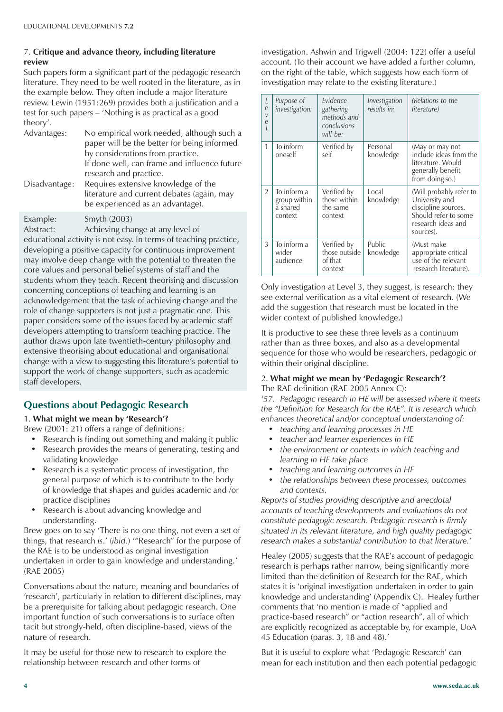### 7. **Critique and advance theory, including literature review**

Such papers form a significant part of the pedagogic research literature. They need to be well rooted in the literature, as in the example below. They often include a major literature review. Lewin (1951:269) provides both a justification and a test for such papers – 'Nothing is as practical as a good theory'.

| Advantages:   | No empirical work needed, although such a<br>paper will be the better for being informed<br>by considerations from practice.<br>If done well, can frame and influence future |
|---------------|------------------------------------------------------------------------------------------------------------------------------------------------------------------------------|
| Disadvantage: | research and practice.<br>Requires extensive knowledge of the<br>literature and current debates (again, may<br>be experienced as an advantage).                              |
| Example:      | Smyth (2003)                                                                                                                                                                 |

Abstract: Achieving change at any level of educational activity is not easy. In terms of teaching practice, developing a positive capacity for continuous improvement may involve deep change with the potential to threaten the core values and personal belief systems of staff and the students whom they teach. Recent theorising and discussion concerning conceptions of teaching and learning is an acknowledgement that the task of achieving change and the role of change supporters is not just a pragmatic one. This paper considers some of the issues faced by academic staff developers attempting to transform teaching practice. The author draws upon late twentieth-century philosophy and extensive theorising about educational and organisational change with a view to suggesting this literature's potential to support the work of change supporters, such as academic staff developers.

### **Questions about Pedagogic Research**

### 1. **What might we mean by 'Research'?**

Brew (2001: 21) offers a range of definitions:

- Research is finding out something and making it public
- Research provides the means of generating, testing and validating knowledge
- Research is a systematic process of investigation, the general purpose of which is to contribute to the body of knowledge that shapes and guides academic and /or practice disciplines
- Research is about advancing knowledge and understanding.

Brew goes on to say 'There is no one thing, not even a set of things, that research *is*.' (*ibid.*) '"Research" for the purpose of the RAE is to be understood as original investigation undertaken in order to gain knowledge and understanding.' (RAE 2005)

Conversations about the nature, meaning and boundaries of 'research', particularly in relation to different disciplines, may be a prerequisite for talking about pedagogic research. One important function of such conversations is to surface often tacit but strongly-held, often discipline-based, views of the nature of research.

It may be useful for those new to research to explore the relationship between research and other forms of

investigation. Ashwin and Trigwell (2004: 122) offer a useful account. (To their account we have added a further column, on the right of the table, which suggests how each form of investigation may relate to the existing literature.)

| L<br>e<br>V<br>e | Purpose of<br>investigation:                       | Fvidence<br>gathering<br>methods and<br>conclusions<br>will be: | Investigation<br>results in: | (Relations to the<br>literature)                                                                                            |
|------------------|----------------------------------------------------|-----------------------------------------------------------------|------------------------------|-----------------------------------------------------------------------------------------------------------------------------|
| 1                | To inform<br>oneself                               | Verified by<br>self                                             | Personal<br>knowledge        | (May or may not<br>include ideas from the<br>literature. Would<br>generally benefit<br>from doing so.)                      |
| $\overline{2}$   | To inform a<br>group within<br>a shared<br>context | Verified by<br>those within<br>the same<br>context              | Local<br>knowledge           | (Will probably refer to<br>University and<br>discipline sources.<br>Should refer to some<br>research ideas and<br>sources). |
| 3                | To inform a<br>wider<br>audience                   | Verified by<br>those outside<br>of that<br>context              | Public<br>knowledge          | (Must make<br>appropriate critical<br>use of the relevant<br>research literature).                                          |

Only investigation at Level 3, they suggest, is research: they see external verification as a vital element of research. (We add the suggestion that research must be located in the wider context of published knowledge.)

It is productive to see these three levels as a continuum rather than as three boxes, and also as a developmental sequence for those who would be researchers, pedagogic or within their original discipline.

### 2. **What might we mean by 'Pedagogic Research'?**

The RAE definition (RAE 2005 Annex C):

'*57. Pedagogic research in HE will be assessed where it meets the "Definition for Research for the RAE". It is research which enhances theoretical and/or conceptual understanding of:*

- *teaching and learning processes in HE*
- *teacher and learner experiences in HE*
- *the environment or contexts in which teaching and learning in HE take place*
- *teaching and learning outcomes in HE*
- *the relationships between these processes, outcomes and contexts.*

*Reports of studies providing descriptive and anecdotal accounts of teaching developments and evaluations do not constitute pedagogic research. Pedagogic research is firmly situated in its relevant literature, and high quality pedagogic research makes a substantial contribution to that literature.*'

Healey (2005) suggests that the RAE's account of pedagogic research is perhaps rather narrow, being significantly more limited than the definition of Research for the RAE, which states it is 'original investigation undertaken in order to gain knowledge and understanding' (Appendix C). Healey further comments that 'no mention is made of "applied and practice-based research" or "action research", all of which are explicitly recognized as acceptable by, for example, UoA 45 Education (paras. 3, 18 and 48).'

But it is useful to explore what 'Pedagogic Research' can mean for each institution and then each potential pedagogic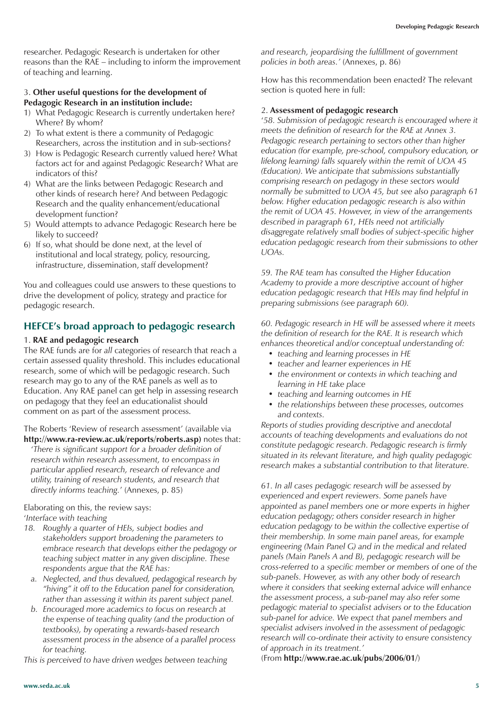researcher. Pedagogic Research is undertaken for other reasons than the RAE – including to inform the improvement of teaching and learning.

#### 3. **Other useful questions for the development of Pedagogic Research in an institution include:**

- 1) What Pedagogic Research is currently undertaken here? Where? By whom?
- 2) To what extent is there a community of Pedagogic Researchers, across the institution and in sub-sections?
- 3) How is Pedagogic Research currently valued here? What factors act for and against Pedagogic Research? What are indicators of this?
- 4) What are the links between Pedagogic Research and other kinds of research here? And between Pedagogic Research and the quality enhancement/educational development function?
- 5) Would attempts to advance Pedagogic Research here be likely to succeed?
- 6) If so, what should be done next, at the level of institutional and local strategy, policy, resourcing, infrastructure, dissemination, staff development?

You and colleagues could use answers to these questions to drive the development of policy, strategy and practice for pedagogic research.

### **HEFCE's broad approach to pedagogic research**

#### 1. **RAE and pedagogic research**

The RAE funds are for *all* categories of research that reach a certain assessed quality threshold. This includes educational research, some of which will be pedagogic research. Such research may go to any of the RAE panels as well as to Education. Any RAE panel can get help in assessing research on pedagogy that they feel an educationalist should comment on as part of the assessment process.

The Roberts 'Review of research assessment' (available via **http://www.ra-review.ac.uk/reports/roberts.asp)** notes that:

'*There is significant support for a broader definition of research within research assessment, to encompass in particular applied research, research of relevance and utility, training of research students, and research that directly informs teaching.*' (Annexes, p. 85)

Elaborating on this, the review says: '*Interface with teaching*

- *18. Roughly a quarter of HEIs, subject bodies and stakeholders support broadening the parameters to embrace research that develops either the pedagogy or teaching subject matter in any given discipline. These respondents argue that the RAE has:*
	- *a. Neglected, and thus devalued, pedagogical research by "hiving" it off to the Education panel for consideration, rather than assessing it within its parent subject panel.*
	- *b. Encouraged more academics to focus on research at the expense of teaching quality (and the production of textbooks), by operating a rewards-based research assessment process in the absence of a parallel process for teaching.*

*This is perceived to have driven wedges between teaching*

*and research, jeopardising the fulfillment of government policies in both areas.'* (Annexes, p. 86)

How has this recommendation been enacted? The relevant section is quoted here in full:

### 2. **Assessment of pedagogic research**

'*58. Submission of pedagogic research is encouraged where it meets the definition of research for the RAE at Annex 3. Pedagogic research pertaining to sectors other than higher education (for example, pre-school, compulsory education, or lifelong learning) falls squarely within the remit of UOA 45 (Education). We anticipate that submissions substantially comprising research on pedagogy in these sectors would normally be submitted to UOA 45, but see also paragraph 61 below. Higher education pedagogic research is also within the remit of UOA 45. However, in view of the arrangements described in paragraph 61, HEIs need not artificially disaggregate relatively small bodies of subject-specific higher education pedagogic research from their submissions to other UOAs.*

*59. The RAE team has consulted the Higher Education Academy to provide a more descriptive account of higher education pedagogic research that HEIs may find helpful in preparing submissions (see paragraph 60).*

*60. Pedagogic research in HE will be assessed where it meets the definition of research for the RAE. It is research which enhances theoretical and/or conceptual understanding of:*

- *teaching and learning processes in HE*
- *teacher and learner experiences in HE*
- *the environment or contexts in which teaching and learning in HE take place*
- *teaching and learning outcomes in HE*
- *the relationships between these processes, outcomes and contexts.*

*Reports of studies providing descriptive and anecdotal accounts of teaching developments and evaluations do not constitute pedagogic research. Pedagogic research is firmly situated in its relevant literature, and high quality pedagogic research makes a substantial contribution to that literature.*

*61. In all cases pedagogic research will be assessed by experienced and expert reviewers. Some panels have appointed as panel members one or more experts in higher education pedagogy; others consider research in higher education pedagogy to be within the collective expertise of their membership. In some main panel areas, for example engineering (Main Panel G) and in the medical and related panels (Main Panels A and B), pedagogic research will be cross-referred to a specific member or members of one of the sub-panels. However, as with any other body of research where it considers that seeking external advice will enhance the assessment process, a sub-panel may also refer some pedagogic material to specialist advisers or to the Education sub-panel for advice. We expect that panel members and specialist advisers involved in the assessment of pedagogic research will co-ordinate their activity to ensure consistency of approach in its treatment.'*

(From **http://www.rae.ac.uk/pubs/2006/01/**)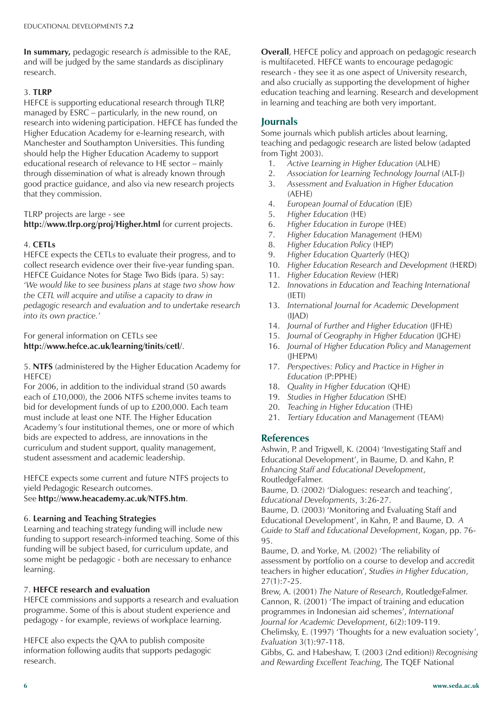**In summary,** pedagogic research *is* admissible to the RAE, and will be judged by the same standards as disciplinary research.

### 3. **TLRP**

HEFCE is supporting educational research through TLRP, managed by ESRC – particularly, in the new round, on research into widening participation. HEFCE has funded the Higher Education Academy for e-learning research, with Manchester and Southampton Universities. This funding should help the Higher Education Academy to support educational research of relevance to HE sector – mainly through dissemination of what is already known through good practice guidance, and also via new research projects that they commission.

### TLRP projects are large - see

**http://www.tlrp.org/proj/Higher.html** for current projects.

### 4. **CETLs**

HEFCE expects the CETLs to evaluate their progress, and to collect research evidence over their five-year funding span. HEFCE Guidance Notes for Stage Two Bids (para. 5) say: '*We would like to see business plans at stage two show how the CETL will acquire and utilise a capacity to draw in pedagogic research and evaluation and to undertake research into its own practice.*'

### For general information on CETLs see **http://www.hefce.ac.uk/learning/tinits/cetl/**.

5. **NTFS** (administered by the Higher Education Academy for HEFCE)

For 2006, in addition to the individual strand (50 awards each of £10,000), the 2006 NTFS scheme invites teams to bid for development funds of up to £200,000. Each team must include at least one NTF. The Higher Education Academy's four institutional themes, one or more of which bids are expected to address, are innovations in the curriculum and student support, quality management, student assessment and academic leadership.

HEFCE expects some current and future NTFS projects to yield Pedagogic Research outcomes. See **http://www.heacademy.ac.uk/NTFS.htm**.

### 6. **Learning and Teaching Strategies**

Learning and teaching strategy funding will include new funding to support research-informed teaching. Some of this funding will be subject based, for curriculum update, and some might be pedagogic - both are necessary to enhance learning.

### 7. **HEFCE research and evaluation**

HEFCE commissions and supports a research and evaluation programme. Some of this is about student experience and pedagogy - for example, reviews of workplace learning.

HEFCE also expects the QAA to publish composite information following audits that supports pedagogic research.

**Overall**, HEFCE policy and approach on pedagogic research is multifaceted. HEFCE wants to encourage pedagogic research - they see it as one aspect of University research, and also crucially as supporting the development of higher education teaching and learning. Research and development in learning and teaching are both very important.

### **Journals**

Some journals which publish articles about learning, teaching and pedagogic research are listed below (adapted from Tight 2003).

- 1. *Active Learning in Higher Education* (ALHE)
- 2. *Association for Learning Technology Journal* (ALT-J)
- 3. *Assessment and Evaluation in Higher Education* (AEHE)
- 4. *European Journal of Education* (EJE)
- 5. *Higher Education* (HE)
- 6. *Higher Education in Europe* (HEE)
- 7. *Higher Education Management* (HEM)
- 8. *Higher Education Policy* (HEP)
- 9. *Higher Education Quarterly* (HEQ)
- 10. *Higher Education Research and Development* (HERD)
- 11. *Higher Education Review* (HER)
- 12. *Innovations in Education and Teaching International* (IETI)
- 13. *International Journal for Academic Development* (IJAD)
- 14. *Journal of Further and Higher Education* (JFHE)
- 15. *Journal of Geography in Higher Education* (JGHE)
- 16. *Journal of Higher Education Policy and Management* (JHEPM)
- 17. *Perspectives: Policy and Practice in Higher in Education* (P:PPHE)
- 18. *Quality in Higher Education* (QHE)
- 19. *Studies in Higher Education* (SHE)
- 20. *Teaching in Higher Education* (THE)
- 21. *Tertiary Education and Management* (TEAM)

### **References**

Ashwin, P. and Trigwell, K. (2004) 'Investigating Staff and Educational Development', in Baume, D. and Kahn, P. *Enhancing Staff and Educational Development*, RoutledgeFalmer.

Baume, D. (2002) 'Dialogues: research and teaching', *Educational Developments*, 3:26-27.

Baume, D. (2003) 'Monitoring and Evaluating Staff and Educational Development', in Kahn, P. and Baume, D. *A Guide to Staff and Educational Development*, Kogan, pp. 76- 95.

Baume, D. and Yorke, M. (2002) 'The reliability of assessment by portfolio on a course to develop and accredit teachers in higher education', *Studies in Higher Education*,  $27(1):7-25.$ 

Brew, A. (2001) *The Nature of Research*, RoutledgeFalmer. Cannon, R. (2001) 'The impact of training and education programmes in Indonesian aid schemes', *International Journal for Academic Development*, 6(2):109-119.

Chelimsky, E. (1997) 'Thoughts for a new evaluation society', *Evaluation* 3(1):97-118.

Gibbs, G. and Habeshaw, T. (2003 (2nd edition)) *Recognising and Rewarding Excellent Teaching*, The TQEF National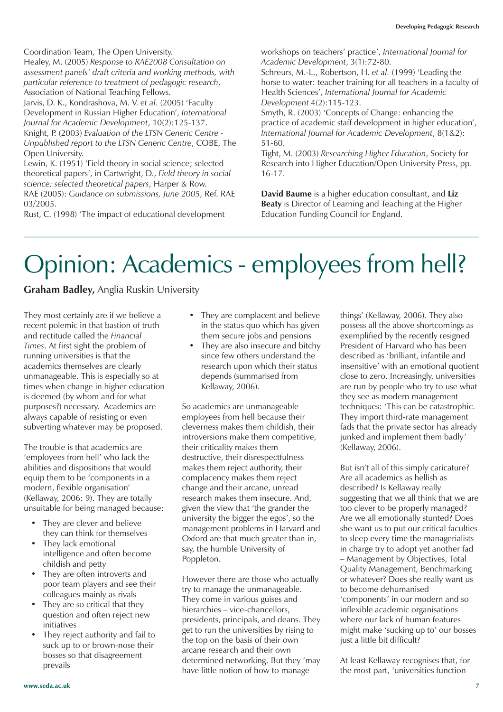Coordination Team, The Open University.

Healey, M. (2005) *Response to RAE2008 Consultation on assessment panels' draft criteria and working methods, with particular reference to treatment of pedagogic research*, Association of National Teaching Fellows.

Jarvis, D. K., Kondrashova, M. V. *et al.* (2005) 'Faculty Development in Russian Higher Education', *International Journal for Academic Development*, 10(2):125-137. Knight, P. (2003) *Evaluation of the LTSN Generic Centre - Unpublished report to the LTSN Generic Centre*, COBE, The

Open University. Lewin, K. (1951) 'Field theory in social science; selected theoretical papers', in Cartwright, D., *Field theory in social science; selected theoretical papers*, Harper & Row. RAE (2005): *Guidance on submissions, June 2005*, Ref. RAE

Rust, C. (1998) 'The impact of educational development

03/2005.

workshops on teachers' practice', *International Journal for Academic Development*, 3(1):72-80.

Schreurs, M.-L., Robertson, H. *et al.* (1999) 'Leading the horse to water: teacher training for all teachers in a faculty of Health Sciences', *International Journal for Academic Development* 4(2):115-123.

Smyth, R. (2003) 'Concepts of Change: enhancing the practice of academic staff development in higher education', *International Journal for Academic Development*, 8(1&2): 51-60.

Tight, M. (2003) *Researching Higher Education*, Society for Research into Higher Education/Open University Press, pp. 16-17.

**David Baume** is a higher education consultant, and **Liz Beaty** is Director of Learning and Teaching at the Higher Education Funding Council for England.

### Opinion: Academics - employees from hell?

**Graham Badley,** Anglia Ruskin University

They most certainly are if we believe a recent polemic in that bastion of truth and rectitude called the *Financial Times*. At first sight the problem of running universities is that the academics themselves are clearly unmanageable. This is especially so at times when change in higher education is deemed (by whom and for what purposes?) necessary. Academics are always capable of resisting or even subverting whatever may be proposed.

The trouble is that academics are 'employees from hell' who lack the abilities and dispositions that would equip them to be 'components in a modern, flexible organisation' (Kellaway, 2006: 9). They are totally unsuitable for being managed because:

- They are clever and believe they can think for themselves
- They lack emotional intelligence and often become childish and petty
- They are often introverts and poor team players and see their colleagues mainly as rivals
- They are so critical that they question and often reject new initiatives
- They reject authority and fail to suck up to or brown-nose their bosses so that disagreement prevails
- They are complacent and believe in the status quo which has given them secure jobs and pensions
- They are also insecure and bitchy since few others understand the research upon which their status depends (summarised from Kellaway, 2006).

So academics are unmanageable employees from hell because their cleverness makes them childish, their introversions make them competitive, their criticality makes them destructive, their disrespectfulness makes them reject authority, their complacency makes them reject change and their arcane, unread research makes them insecure. And, given the view that 'the grander the university the bigger the egos', so the management problems in Harvard and Oxford are that much greater than in, say, the humble University of Poppleton.

However there are those who actually try to manage the unmanageable. They come in various guises and hierarchies – vice-chancellors, presidents, principals, and deans. They get to run the universities by rising to the top on the basis of their own arcane research and their own determined networking. But they 'may have little notion of how to manage

things' (Kellaway, 2006). They also possess all the above shortcomings as exemplified by the recently resigned President of Harvard who has been described as 'brilliant, infantile and insensitive' with an emotional quotient close to zero. Increasingly, universities are run by people who try to use what they see as modern management techniques: 'This can be catastrophic. They import third-rate management fads that the private sector has already junked and implement them badly' (Kellaway, 2006).

But isn't all of this simply caricature? Are all academics as hellish as described? Is Kellaway really suggesting that we all think that we are too clever to be properly managed? Are we all emotionally stunted? Does she want us to put our critical faculties to sleep every time the managerialists in charge try to adopt yet another fad – Management by Objectives, Total Quality Management, Benchmarking or whatever? Does she really want us to become dehumanised 'components' in our modern and so inflexible academic organisations where our lack of human features might make 'sucking up to' our bosses just a little bit difficult?

At least Kellaway recognises that, for the most part, 'universities function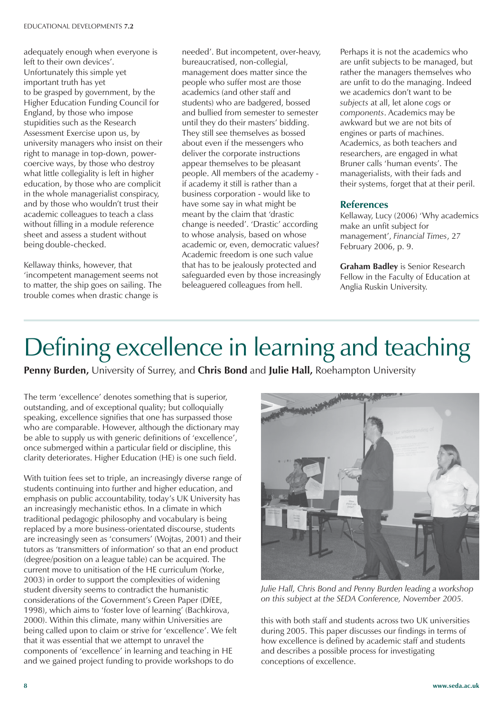adequately enough when everyone is left to their own devices'. Unfortunately this simple yet important truth has yet to be grasped by government, by the Higher Education Funding Council for England, by those who impose stupidities such as the Research Assessment Exercise upon us, by university managers who insist on their right to manage in top-down, powercoercive ways, by those who destroy what little collegiality is left in higher education, by those who are complicit in the whole managerialist conspiracy, and by those who wouldn't trust their academic colleagues to teach a class without filling in a module reference sheet and assess a student without being double-checked.

Kellaway thinks, however, that 'incompetent management seems not to matter, the ship goes on sailing. The trouble comes when drastic change is

needed'. But incompetent, over-heavy, bureaucratised, non-collegial, management does matter since the people who suffer most are those academics (and other staff and students) who are badgered, bossed and bullied from semester to semester until they do their masters' bidding. They still see themselves as bossed about even if the messengers who deliver the corporate instructions appear themselves to be pleasant people. All members of the academy if academy it still is rather than a business corporation - would like to have some say in what might be meant by the claim that 'drastic change is needed'. 'Drastic' according to whose analysis, based on whose academic or, even, democratic values? Academic freedom is one such value that has to be jealously protected and safeguarded even by those increasingly beleaguered colleagues from hell.

Perhaps it is not the academics who are unfit subjects to be managed, but rather the managers themselves who are unfit to do the managing. Indeed we academics don't want to be *subjects* at all, let alone *cogs* or *components*. Academics may be awkward but we are not bits of engines or parts of machines. Academics, as both teachers and researchers, are engaged in what Bruner calls 'human events'. The managerialists, with their fads and their systems, forget that at their peril.

### **References**

Kellaway, Lucy (2006) 'Why academics make an unfit subject for management', *Financial Times*, 27 February 2006, p. 9.

**Graham Badley** is Senior Research Fellow in the Faculty of Education at Anglia Ruskin University.

# Defining excellence in learning and teaching

**Penny Burden,** University of Surrey, and **Chris Bond** and **Julie Hall,** Roehampton University

The term 'excellence' denotes something that is superior, outstanding, and of exceptional quality; but colloquially speaking, excellence signifies that one has surpassed those who are comparable. However, although the dictionary may be able to supply us with generic definitions of 'excellence', once submerged within a particular field or discipline, this clarity deteriorates. Higher Education (HE) is one such field.

With tuition fees set to triple, an increasingly diverse range of students continuing into further and higher education, and emphasis on public accountability, today's UK University has an increasingly mechanistic ethos. In a climate in which traditional pedagogic philosophy and vocabulary is being replaced by a more business-orientated discourse, students are increasingly seen as 'consumers' (Wojtas, 2001) and their tutors as 'transmitters of information' so that an end product (degree/position on a league table) can be acquired. The current move to unitisation of the HE curriculum (Yorke, 2003) in order to support the complexities of widening student diversity seems to contradict the humanistic considerations of the Government's Green Paper (DfEE, 1998), which aims to 'foster love of learning' (Bachkirova, 2000). Within this climate, many within Universities are being called upon to claim or strive for 'excellence'. We felt that it was essential that we attempt to unravel the components of 'excellence' in learning and teaching in HE and we gained project funding to provide workshops to do



conceptions of excellence.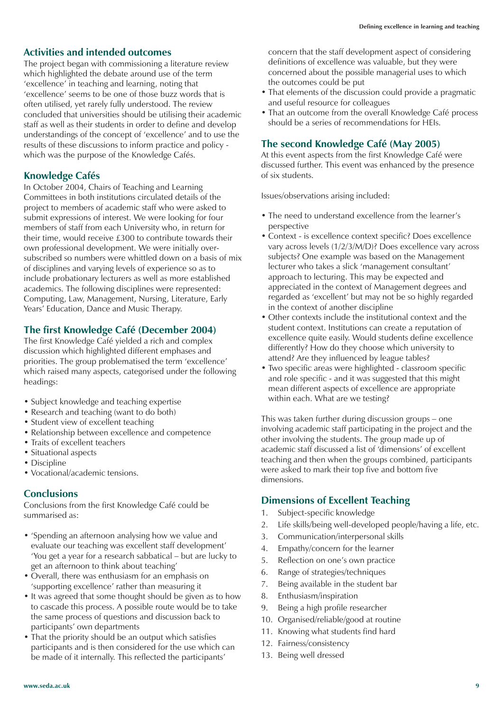### **Activities and intended outcomes**

The project began with commissioning a literature review which highlighted the debate around use of the term 'excellence' in teaching and learning, noting that 'excellence' seems to be one of those buzz words that is often utilised, yet rarely fully understood. The review concluded that universities should be utilising their academic staff as well as their students in order to define and develop understandings of the concept of 'excellence' and to use the results of these discussions to inform practice and policy which was the purpose of the Knowledge Cafés.

### **Knowledge Cafés**

In October 2004, Chairs of Teaching and Learning Committees in both institutions circulated details of the project to members of academic staff who were asked to submit expressions of interest. We were looking for four members of staff from each University who, in return for their time, would receive £300 to contribute towards their own professional development. We were initially oversubscribed so numbers were whittled down on a basis of mix of disciplines and varying levels of experience so as to include probationary lecturers as well as more established academics. The following disciplines were represented: Computing, Law, Management, Nursing, Literature, Early Years' Education, Dance and Music Therapy.

### **The first Knowledge Café (December 2004)**

The first Knowledge Café yielded a rich and complex discussion which highlighted different emphases and priorities. The group problematised the term 'excellence' which raised many aspects, categorised under the following headings:

- Subject knowledge and teaching expertise
- Research and teaching (want to do both)
- Student view of excellent teaching
- Relationship between excellence and competence
- Traits of excellent teachers
- Situational aspects
- Discipline
- Vocational/academic tensions.

### **Conclusions**

Conclusions from the first Knowledge Café could be summarised as:

- 'Spending an afternoon analysing how we value and evaluate our teaching was excellent staff development' 'You get a year for a research sabbatical – but are lucky to get an afternoon to think about teaching'
- Overall, there was enthusiasm for an emphasis on 'supporting excellence' rather than measuring it
- It was agreed that some thought should be given as to how to cascade this process. A possible route would be to take the same process of questions and discussion back to participants' own departments
- That the priority should be an output which satisfies participants and is then considered for the use which can be made of it internally. This reflected the participants'

concern that the staff development aspect of considering definitions of excellence was valuable, but they were concerned about the possible managerial uses to which the outcomes could be put

- That elements of the discussion could provide a pragmatic and useful resource for colleagues
- That an outcome from the overall Knowledge Café process should be a series of recommendations for HEIs.

### **The second Knowledge Café (May 2005)**

At this event aspects from the first Knowledge Café were discussed further. This event was enhanced by the presence of six students.

Issues/observations arising included:

- The need to understand excellence from the learner's perspective
- Context is excellence context specific? Does excellence vary across levels (1/2/3/M/D)? Does excellence vary across subjects? One example was based on the Management lecturer who takes a slick 'management consultant' approach to lecturing. This may be expected and appreciated in the context of Management degrees and regarded as 'excellent' but may not be so highly regarded in the context of another discipline
- Other contexts include the institutional context and the student context. Institutions can create a reputation of excellence quite easily. Would students define excellence differently? How do they choose which university to attend? Are they influenced by league tables?
- Two specific areas were highlighted classroom specific and role specific - and it was suggested that this might mean different aspects of excellence are appropriate within each. What are we testing?

This was taken further during discussion groups – one involving academic staff participating in the project and the other involving the students. The group made up of academic staff discussed a list of 'dimensions' of excellent teaching and then when the groups combined, participants were asked to mark their top five and bottom five dimensions.

### **Dimensions of Excellent Teaching**

- 1. Subject-specific knowledge
- 2. Life skills/being well-developed people/having a life, etc.
- 3. Communication/interpersonal skills
- 4. Empathy/concern for the learner
- 5. Reflection on one's own practice
- 6. Range of strategies/techniques
- 7. Being available in the student bar
- 8. Enthusiasm/inspiration
- 9. Being a high profile researcher
- 10. Organised/reliable/good at routine
- 11. Knowing what students find hard
- 12. Fairness/consistency
- 13. Being well dressed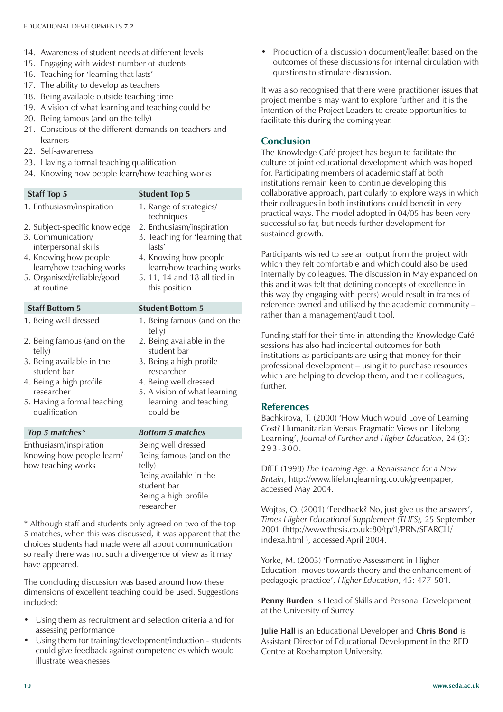- 14. Awareness of student needs at different levels
- 15. Engaging with widest number of students
- 16. Teaching for 'learning that lasts'
- 17. The ability to develop as teachers
- 18. Being available outside teaching time
- 19. A vision of what learning and teaching could be
- 20. Being famous (and on the telly)
- 21. Conscious of the different demands on teachers and learners
- 22. Self-awareness
- 23. Having a formal teaching qualification
- 24. Knowing how people learn/how teaching works

### **Staff Top 5** Student Top 5 1. Enthusiasm/inspiration 1. Range of strategies/ techniques<br>2. Enthusiasm/inspiration 2. Subject-specific knowledge<br>3. Communication/ 3. Teaching for 'learning that interpersonal skills and lasts' 4. Knowing how people 4. Knowing how people learn/how teaching works learn/how teaching works 5. Organised/reliable/good 5. 11, 14 and 18 all tied in at routine this position **Staff Bottom 5** Student Bottom 5 1. Being well dressed 1. Being famous (and on the telly) 2. Being famous (and on the 2. Being available in the telly) student bar 3. Being available in the 3. Being a high profile student bar researcher 4. Being a high profile 4. Being well dressed researcher 5. A vision of what learning 5. Having a formal teaching learning and teaching qualification could be *Top 5 matches\* Bottom 5 matches* Enthusiasm/inspiration Being well dressed Knowing how people learn/ Being famous (and on the how teaching works telly) Being available in the student bar Being a high profile researcher

\* Although staff and students only agreed on two of the top 5 matches, when this was discussed, it was apparent that the choices students had made were all about communication so really there was not such a divergence of view as it may have appeared.

The concluding discussion was based around how these dimensions of excellent teaching could be used. Suggestions included:

- Using them as recruitment and selection criteria and for assessing performance
- Using them for training/development/induction students could give feedback against competencies which would illustrate weaknesses

• Production of a discussion document/leaflet based on the outcomes of these discussions for internal circulation with questions to stimulate discussion.

It was also recognised that there were practitioner issues that project members may want to explore further and it is the intention of the Project Leaders to create opportunities to facilitate this during the coming year.

### **Conclusion**

The Knowledge Café project has begun to facilitate the culture of joint educational development which was hoped for. Participating members of academic staff at both institutions remain keen to continue developing this collaborative approach, particularly to explore ways in which their colleagues in both institutions could benefit in very practical ways. The model adopted in 04/05 has been very successful so far, but needs further development for sustained growth.

Participants wished to see an output from the project with which they felt comfortable and which could also be used internally by colleagues. The discussion in May expanded on this and it was felt that defining concepts of excellence in this way (by engaging with peers) would result in frames of reference owned and utilised by the academic community – rather than a management/audit tool.

Funding staff for their time in attending the Knowledge Café sessions has also had incidental outcomes for both institutions as participants are using that money for their professional development – using it to purchase resources which are helping to develop them, and their colleagues, further.

### **References**

Bachkirova, T. (2000) 'How Much would Love of Learning Cost? Humanitarian Versus Pragmatic Views on Lifelong Learning', *Journal of Further and Higher Education*, 24 (3): 293-300.

DfEE (1998) *The Learning Age: a Renaissance for a New Britain*, http://www.lifelonglearning.co.uk/greenpaper, accessed May 2004.

Wojtas, O. (2001) 'Feedback? No, just give us the answers', *Times Higher Educational Supplement (THES),* 25 September 2001 (http://www.thesis.co.uk:80/tp/1/PRN/SEARCH/ indexa.html ), accessed April 2004.

Yorke, M. (2003) 'Formative Assessment in Higher Education: moves towards theory and the enhancement of pedagogic practice', *Higher Education*, 45: 477-501.

**Penny Burden** is Head of Skills and Personal Development at the University of Surrey.

**Julie Hall** is an Educational Developer and **Chris Bond** is Assistant Director of Educational Development in the RED Centre at Roehampton University.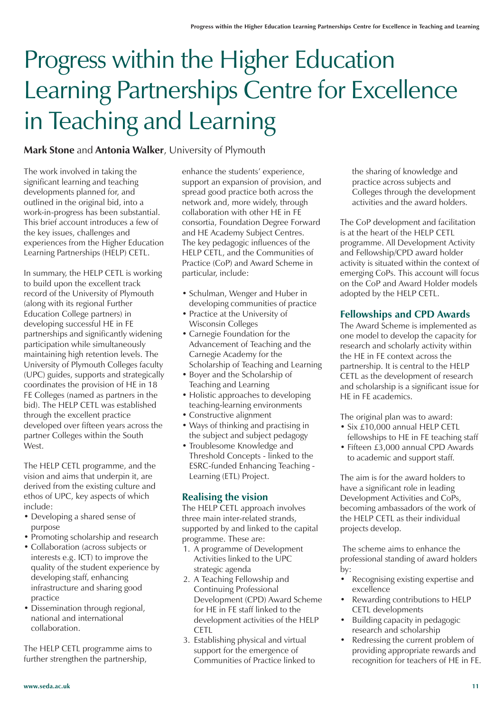## Progress within the Higher Education Learning Partnerships Centre for Excellence in Teaching and Learning

### **Mark Stone** and **Antonia Walker**, University of Plymouth

The work involved in taking the significant learning and teaching developments planned for, and outlined in the original bid, into a work-in-progress has been substantial. This brief account introduces a few of the key issues, challenges and experiences from the Higher Education Learning Partnerships (HELP) CETL.

In summary, the HELP CETL is working to build upon the excellent track record of the University of Plymouth (along with its regional Further Education College partners) in developing successful HE in FE partnerships and significantly widening participation while simultaneously maintaining high retention levels. The University of Plymouth Colleges faculty (UPC) guides, supports and strategically coordinates the provision of HE in 18 FE Colleges (named as partners in the bid). The HELP CETL was established through the excellent practice developed over fifteen years across the partner Colleges within the South West.

The HELP CETL programme, and the vision and aims that underpin it, are derived from the existing culture and ethos of UPC, key aspects of which include:

- Developing a shared sense of purpose
- Promoting scholarship and research
- Collaboration (across subjects or interests e.g. ICT) to improve the quality of the student experience by developing staff, enhancing infrastructure and sharing good practice
- Dissemination through regional, national and international collaboration.

The HELP CETL programme aims to further strengthen the partnership,

enhance the students' experience, support an expansion of provision, and spread good practice both across the network and, more widely, through collaboration with other HE in FE consortia, Foundation Degree Forward and HE Academy Subject Centres. The key pedagogic influences of the HELP CETL, and the Communities of Practice (CoP) and Award Scheme in particular, include:

- Schulman, Wenger and Huber in developing communities of practice
- Practice at the University of Wisconsin Colleges
- Carnegie Foundation for the Advancement of Teaching and the Carnegie Academy for the Scholarship of Teaching and Learning
- Boyer and the Scholarship of Teaching and Learning
- Holistic approaches to developing teaching-learning environments
- Constructive alignment
- Ways of thinking and practising in the subject and subject pedagogy
- Troublesome Knowledge and Threshold Concepts - linked to the ESRC-funded Enhancing Teaching - Learning (ETL) Project.

### **Realising the vision**

The HELP CETL approach involves three main inter-related strands, supported by and linked to the capital programme. These are:

- 1. A programme of Development Activities linked to the UPC strategic agenda
- 2. A Teaching Fellowship and Continuing Professional Development (CPD) Award Scheme for HE in FE staff linked to the development activities of the HELP **CETL**
- 3. Establishing physical and virtual support for the emergence of Communities of Practice linked to

the sharing of knowledge and practice across subjects and Colleges through the development activities and the award holders.

The CoP development and facilitation is at the heart of the HELP CETL programme. All Development Activity and Fellowship/CPD award holder activity is situated within the context of emerging CoPs. This account will focus on the CoP and Award Holder models adopted by the HELP CETL.

### **Fellowships and CPD Awards**

The Award Scheme is implemented as one model to develop the capacity for research and scholarly activity within the HE in FE context across the partnership. It is central to the HELP CETL as the development of research and scholarship is a significant issue for HE in FE academics.

The original plan was to award:

- Six £10,000 annual HELP CETL fellowships to HE in FE teaching staff
- Fifteen £3,000 annual CPD Awards to academic and support staff.

The aim is for the award holders to have a significant role in leading Development Activities and CoPs, becoming ambassadors of the work of the HELP CETL as their individual projects develop.

 The scheme aims to enhance the professional standing of award holders by:

- Recognising existing expertise and excellence
- Rewarding contributions to HELP CETL developments
- Building capacity in pedagogic research and scholarship
- Redressing the current problem of providing appropriate rewards and recognition for teachers of HE in FE.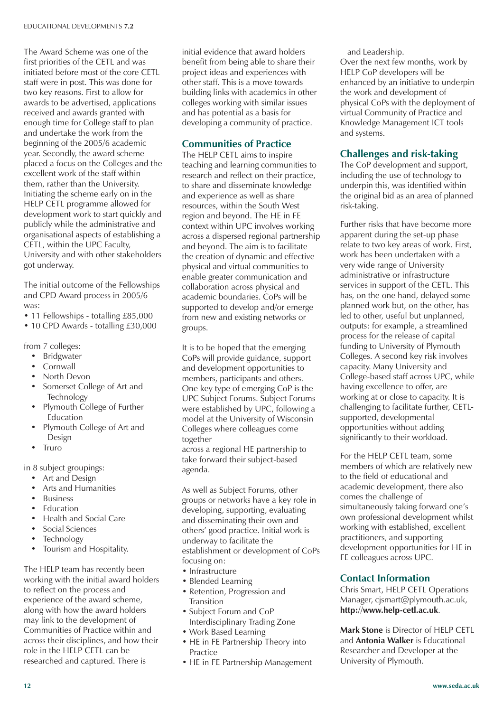The Award Scheme was one of the first priorities of the CETL and was initiated before most of the core CETL staff were in post. This was done for two key reasons. First to allow for awards to be advertised, applications received and awards granted with enough time for College staff to plan and undertake the work from the beginning of the 2005/6 academic year. Secondly, the award scheme placed a focus on the Colleges and the excellent work of the staff within them, rather than the University. Initiating the scheme early on in the HELP CETL programme allowed for development work to start quickly and publicly while the administrative and organisational aspects of establishing a CETL, within the UPC Faculty, University and with other stakeholders got underway.

The initial outcome of the Fellowships and CPD Award process in 2005/6 was:

- 11 Fellowships totalling £85,000
- 10 CPD Awards totalling £30,000

from 7 colleges:

- Bridgwater
- **Cornwall**
- North Devon
- Somerset College of Art and Technology
- Plymouth College of Further Education
- Plymouth College of Art and Design
- Truro

in 8 subject groupings:

- Art and Design
- Arts and Humanities
- **Business**
- **Fducation**
- Health and Social Care
- Social Sciences
- **Technology**
- Tourism and Hospitality.

The HELP team has recently been working with the initial award holders to reflect on the process and experience of the award scheme, along with how the award holders may link to the development of Communities of Practice within and across their disciplines, and how their role in the HELP CETL can be researched and captured. There is

initial evidence that award holders benefit from being able to share their project ideas and experiences with other staff. This is a move towards building links with academics in other colleges working with similar issues and has potential as a basis for developing a community of practice.

### **Communities of Practice**

The HELP CETL aims to inspire teaching and learning communities to research and reflect on their practice, to share and disseminate knowledge and experience as well as share resources, within the South West region and beyond. The HE in FE context within UPC involves working across a dispersed regional partnership and beyond. The aim is to facilitate the creation of dynamic and effective physical and virtual communities to enable greater communication and collaboration across physical and academic boundaries. CoPs will be supported to develop and/or emerge from new and existing networks or groups.

It is to be hoped that the emerging CoPs will provide guidance, support and development opportunities to members, participants and others. One key type of emerging CoP is the UPC Subject Forums. Subject Forums were established by UPC, following a model at the University of Wisconsin Colleges where colleagues come together

across a regional HE partnership to take forward their subject-based agenda.

As well as Subject Forums, other groups or networks have a key role in developing, supporting, evaluating and disseminating their own and others' good practice. Initial work is underway to facilitate the establishment or development of CoPs focusing on:

- Infrastructure
- Blended Learning
- Retention, Progression and Transition
- Subject Forum and CoP Interdisciplinary Trading Zone
- Work Based Learning
- HE in FE Partnership Theory into Practice
- HE in FE Partnership Management

and Leadership.

Over the next few months, work by HELP CoP developers will be enhanced by an initiative to underpin the work and development of physical CoPs with the deployment of virtual Community of Practice and Knowledge Management ICT tools and systems.

### **Challenges and risk-taking**

The CoP development and support, including the use of technology to underpin this, was identified within the original bid as an area of planned risk-taking.

Further risks that have become more apparent during the set-up phase relate to two key areas of work. First, work has been undertaken with a very wide range of University administrative or infrastructure services in support of the CETL. This has, on the one hand, delayed some planned work but, on the other, has led to other, useful but unplanned, outputs: for example, a streamlined process for the release of capital funding to University of Plymouth Colleges. A second key risk involves capacity. Many University and College-based staff across UPC, while having excellence to offer, are working at or close to capacity. It is challenging to facilitate further, CETLsupported, developmental opportunities without adding significantly to their workload.

For the HELP CETL team, some members of which are relatively new to the field of educational and academic development, there also comes the challenge of simultaneously taking forward one's own professional development whilst working with established, excellent practitioners, and supporting development opportunities for HE in FE colleagues across UPC.

### **Contact Information**

Chris Smart, HELP CETL Operations Manager, cjsmart@plymouth.ac.uk, **http://www.help-cetl.ac.uk**.

**Mark Stone** is Director of HELP CETL and **Antonia Walker** is Educational Researcher and Developer at the University of Plymouth.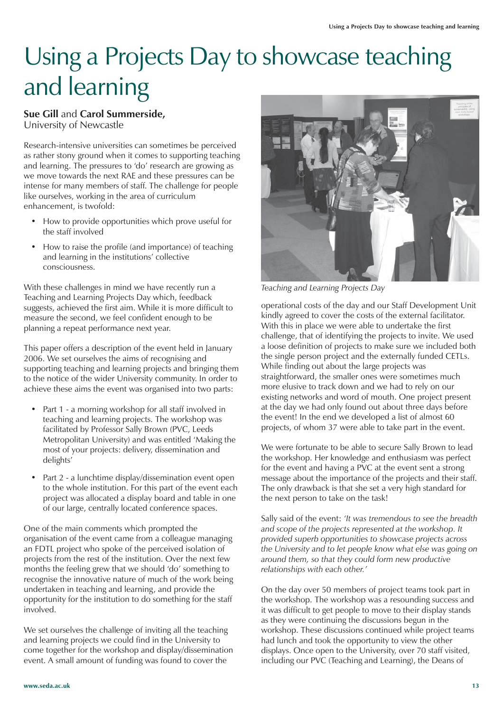## Using a Projects Day to showcase teaching and learning

### **Sue Gill** and **Carol Summerside,** University of Newcastle

Research-intensive universities can sometimes be perceived as rather stony ground when it comes to supporting teaching and learning. The pressures to 'do' research are growing as we move towards the next RAE and these pressures can be intense for many members of staff. The challenge for people like ourselves, working in the area of curriculum enhancement, is twofold:

- How to provide opportunities which prove useful for the staff involved
- How to raise the profile (and importance) of teaching and learning in the institutions' collective consciousness.

With these challenges in mind we have recently run a Teaching and Learning Projects Day which, feedback suggests, achieved the first aim. While it is more difficult to measure the second, we feel confident enough to be planning a repeat performance next year.

This paper offers a description of the event held in January 2006. We set ourselves the aims of recognising and supporting teaching and learning projects and bringing them to the notice of the wider University community. In order to achieve these aims the event was organised into two parts:

- Part 1 a morning workshop for all staff involved in teaching and learning projects. The workshop was facilitated by Professor Sally Brown (PVC, Leeds Metropolitan University) and was entitled 'Making the most of your projects: delivery, dissemination and delights'
- Part 2 a lunchtime display/dissemination event open to the whole institution. For this part of the event each project was allocated a display board and table in one of our large, centrally located conference spaces.

One of the main comments which prompted the organisation of the event came from a colleague managing an FDTL project who spoke of the perceived isolation of projects from the rest of the institution. Over the next few months the feeling grew that we should 'do' something to recognise the innovative nature of much of the work being undertaken in teaching and learning, and provide the opportunity for the institution to do something for the staff involved.

We set ourselves the challenge of inviting all the teaching and learning projects we could find in the University to come together for the workshop and display/dissemination event. A small amount of funding was found to cover the



*Teaching and Learning Projects Day*

operational costs of the day and our Staff Development Unit kindly agreed to cover the costs of the external facilitator. With this in place we were able to undertake the first challenge, that of identifying the projects to invite. We used a loose definition of projects to make sure we included both the single person project and the externally funded CETLs. While finding out about the large projects was straightforward, the smaller ones were sometimes much more elusive to track down and we had to rely on our existing networks and word of mouth. One project present at the day we had only found out about three days before the event! In the end we developed a list of almost 60 projects, of whom 37 were able to take part in the event.

We were fortunate to be able to secure Sally Brown to lead the workshop. Her knowledge and enthusiasm was perfect for the event and having a PVC at the event sent a strong message about the importance of the projects and their staff. The only drawback is that she set a very high standard for the next person to take on the task!

Sally said of the event: *'It was tremendous to see the breadth and scope of the projects represented at the workshop. It provided superb opportunities to showcase projects across the University and to let people know what else was going on around them, so that they could form new productive relationships with each other.'*

On the day over 50 members of project teams took part in the workshop. The workshop was a resounding success and it was difficult to get people to move to their display stands as they were continuing the discussions begun in the workshop. These discussions continued while project teams had lunch and took the opportunity to view the other displays. Once open to the University, over 70 staff visited, including our PVC (Teaching and Learning), the Deans of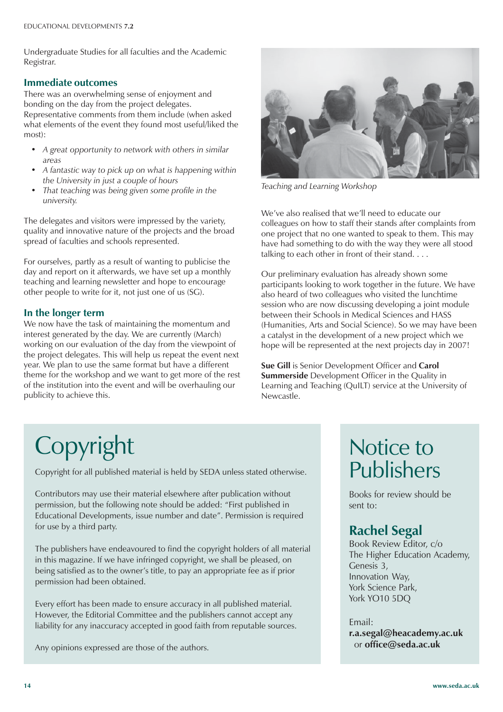Undergraduate Studies for all faculties and the Academic Registrar.

### **Immediate outcomes**

There was an overwhelming sense of enjoyment and bonding on the day from the project delegates. Representative comments from them include (when asked what elements of the event they found most useful/liked the most):

- *A great opportunity to network with others in similar areas*
- *A fantastic way to pick up on what is happening within the University in just a couple of hours*
- *That teaching was being given some profile in the university.*

The delegates and visitors were impressed by the variety, quality and innovative nature of the projects and the broad spread of faculties and schools represented.

For ourselves, partly as a result of wanting to publicise the day and report on it afterwards, we have set up a monthly teaching and learning newsletter and hope to encourage other people to write for it, not just one of us (SG).

### **In the longer term**

We now have the task of maintaining the momentum and interest generated by the day. We are currently (March) working on our evaluation of the day from the viewpoint of the project delegates. This will help us repeat the event next year. We plan to use the same format but have a different theme for the workshop and we want to get more of the rest of the institution into the event and will be overhauling our publicity to achieve this.



*Teaching and Learning Workshop*

We've also realised that we'll need to educate our colleagues on how to staff their stands after complaints from one project that no one wanted to speak to them. This may have had something to do with the way they were all stood talking to each other in front of their stand. . . .

Our preliminary evaluation has already shown some participants looking to work together in the future. We have also heard of two colleagues who visited the lunchtime session who are now discussing developing a joint module between their Schools in Medical Sciences and HASS (Humanities, Arts and Social Science). So we may have been a catalyst in the development of a new project which we hope will be represented at the next projects day in 2007!

**Sue Gill** is Senior Development Officer and **Carol Summerside** Development Officer in the Quality in Learning and Teaching (QuILT) service at the University of Newcastle.

# Copyright

Copyright for all published material is held by SEDA unless stated otherwise.

Contributors may use their material elsewhere after publication without permission, but the following note should be added: "First published in Educational Developments, issue number and date". Permission is required for use by a third party.

The publishers have endeavoured to find the copyright holders of all material in this magazine. If we have infringed copyright, we shall be pleased, on being satisfied as to the owner's title, to pay an appropriate fee as if prior permission had been obtained.

Every effort has been made to ensure accuracy in all published material. However, the Editorial Committee and the publishers cannot accept any liability for any inaccuracy accepted in good faith from reputable sources.

Any opinions expressed are those of the authors.

### Notice to Publishers

Books for review should be sent to:

### **Rachel Segal**

Book Review Editor, c/o The Higher Education Academy, Genesis 3, Innovation Way, York Science Park, York YO10 5DQ

Email: **r.a.segal@heacademy.ac.uk** or **office@seda.ac.uk**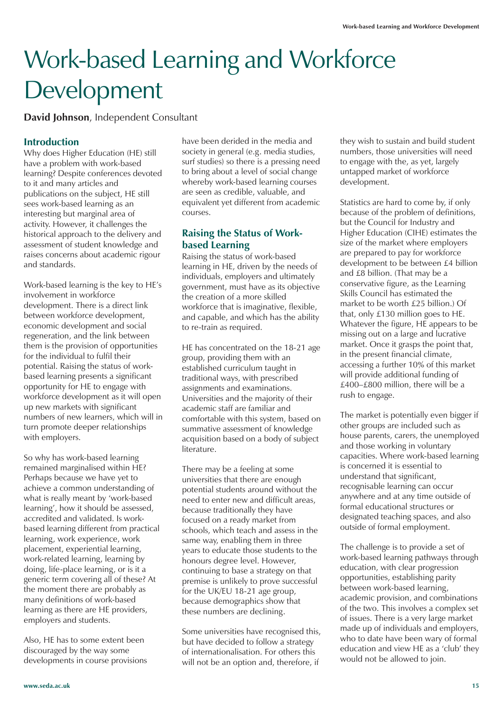# Work-based Learning and Workforce Development

**David Johnson**, Independent Consultant

### **Introduction**

Why does Higher Education (HE) still have a problem with work-based learning? Despite conferences devoted to it and many articles and publications on the subject, HE still sees work-based learning as an interesting but marginal area of activity. However, it challenges the historical approach to the delivery and assessment of student knowledge and raises concerns about academic rigour and standards.

Work-based learning is the key to HE's involvement in workforce development. There is a direct link between workforce development, economic development and social regeneration, and the link between them is the provision of opportunities for the individual to fulfil their potential. Raising the status of workbased learning presents a significant opportunity for HE to engage with workforce development as it will open up new markets with significant numbers of new learners, which will in turn promote deeper relationships with employers.

So why has work-based learning remained marginalised within HE? Perhaps because we have yet to achieve a common understanding of what is really meant by 'work-based learning', how it should be assessed, accredited and validated. Is workbased learning different from practical learning, work experience, work placement, experiential learning, work-related learning, learning by doing, life-place learning, or is it a generic term covering all of these? At the moment there are probably as many definitions of work-based learning as there are HE providers, employers and students.

Also, HE has to some extent been discouraged by the way some developments in course provisions have been derided in the media and society in general (e.g. media studies, surf studies) so there is a pressing need to bring about a level of social change whereby work-based learning courses are seen as credible, valuable, and equivalent yet different from academic courses.

### **Raising the Status of Workbased Learning**

Raising the status of work-based learning in HE, driven by the needs of individuals, employers and ultimately government, must have as its objective the creation of a more skilled workforce that is imaginative, flexible, and capable, and which has the ability to re-train as required.

HE has concentrated on the 18-21 age group, providing them with an established curriculum taught in traditional ways, with prescribed assignments and examinations. Universities and the majority of their academic staff are familiar and comfortable with this system, based on summative assessment of knowledge acquisition based on a body of subject literature.

There may be a feeling at some universities that there are enough potential students around without the need to enter new and difficult areas, because traditionally they have focused on a ready market from schools, which teach and assess in the same way, enabling them in three years to educate those students to the honours degree level. However, continuing to base a strategy on that premise is unlikely to prove successful for the UK/EU 18-21 age group, because demographics show that these numbers are declining.

Some universities have recognised this, but have decided to follow a strategy of internationalisation. For others this will not be an option and, therefore, if

they wish to sustain and build student numbers, those universities will need to engage with the, as yet, largely untapped market of workforce development.

Statistics are hard to come by, if only because of the problem of definitions, but the Council for Industry and Higher Education (CIHE) estimates the size of the market where employers are prepared to pay for workforce development to be between £4 billion and £8 billion. (That may be a conservative figure, as the Learning Skills Council has estimated the market to be worth £25 billion.) Of that, only £130 million goes to HE. Whatever the figure, HE appears to be missing out on a large and lucrative market. Once it grasps the point that, in the present financial climate, accessing a further 10% of this market will provide additional funding of £400–£800 million, there will be a rush to engage.

The market is potentially even bigger if other groups are included such as house parents, carers, the unemployed and those working in voluntary capacities. Where work-based learning is concerned it is essential to understand that significant, recognisable learning can occur anywhere and at any time outside of formal educational structures or designated teaching spaces, and also outside of formal employment.

The challenge is to provide a set of work-based learning pathways through education, with clear progression opportunities, establishing parity between work-based learning, academic provision, and combinations of the two. This involves a complex set of issues. There is a very large market made up of individuals and employers, who to date have been wary of formal education and view HE as a 'club' they would not be allowed to join.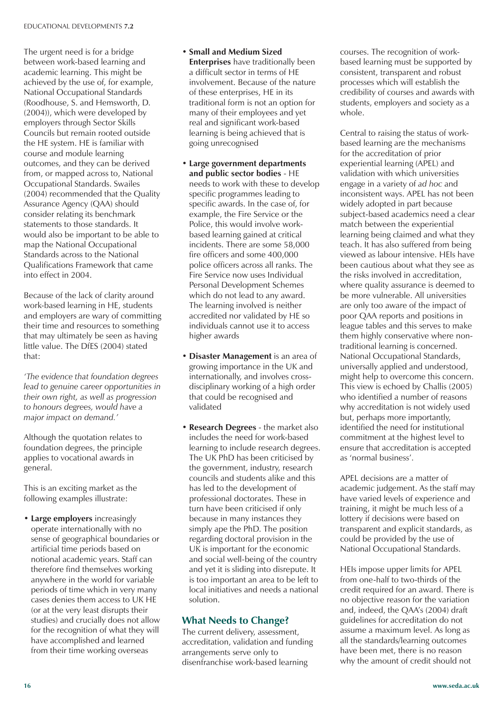The urgent need is for a bridge between work-based learning and academic learning. This might be achieved by the use of, for example, National Occupational Standards (Roodhouse, S. and Hemsworth, D. (2004)), which were developed by employers through Sector Skills Councils but remain rooted outside the HE system. HE is familiar with course and module learning outcomes, and they can be derived from, or mapped across to, National Occupational Standards. Swailes (2004) recommended that the Quality Assurance Agency (QAA) should consider relating its benchmark statements to those standards. It would also be important to be able to map the National Occupational Standards across to the National Qualifications Framework that came into effect in 2004.

Because of the lack of clarity around work-based learning in HE, students and employers are wary of committing their time and resources to something that may ultimately be seen as having little value. The DfES (2004) stated that:

*'The evidence that foundation degrees lead to genuine career opportunities in their own right, as well as progression to honours degrees, would have a major impact on demand.'*

Although the quotation relates to foundation degrees, the principle applies to vocational awards in general.

This is an exciting market as the following examples illustrate:

• **Large employers** increasingly operate internationally with no sense of geographical boundaries or artificial time periods based on notional academic years. Staff can therefore find themselves working anywhere in the world for variable periods of time which in very many cases denies them access to UK HE (or at the very least disrupts their studies) and crucially does not allow for the recognition of what they will have accomplished and learned from their time working overseas

- **Small and Medium Sized Enterprises** have traditionally been a difficult sector in terms of HE involvement. Because of the nature of these enterprises, HE in its traditional form is not an option for many of their employees and yet real and significant work-based learning is being achieved that is going unrecognised
- **Large government departments and public sector bodies** - HE needs to work with these to develop specific programmes leading to specific awards. In the case of, for example, the Fire Service or the Police, this would involve workbased learning gained at critical incidents. There are some 58,000 fire officers and some 400,000 police officers across all ranks. The Fire Service now uses Individual Personal Development Schemes which do not lead to any award. The learning involved is neither accredited nor validated by HE so individuals cannot use it to access higher awards
- **Disaster Management** is an area of growing importance in the UK and internationally, and involves crossdisciplinary working of a high order that could be recognised and validated
- **Research Degrees** the market also includes the need for work-based learning to include research degrees. The UK PhD has been criticised by the government, industry, research councils and students alike and this has led to the development of professional doctorates. These in turn have been criticised if only because in many instances they simply ape the PhD. The position regarding doctoral provision in the UK is important for the economic and social well-being of the country and yet it is sliding into disrepute. It is too important an area to be left to local initiatives and needs a national solution.

### **What Needs to Change?**

The current delivery, assessment, accreditation, validation and funding arrangements serve only to disenfranchise work-based learning

courses. The recognition of workbased learning must be supported by consistent, transparent and robust processes which will establish the credibility of courses and awards with students, employers and society as a whole.

Central to raising the status of workbased learning are the mechanisms for the accreditation of prior experiential learning (APEL) and validation with which universities engage in a variety of *ad hoc* and inconsistent ways. APEL has not been widely adopted in part because subject-based academics need a clear match between the experiential learning being claimed and what they teach. It has also suffered from being viewed as labour intensive. HEIs have been cautious about what they see as the risks involved in accreditation, where quality assurance is deemed to be more vulnerable. All universities are only too aware of the impact of poor QAA reports and positions in league tables and this serves to make them highly conservative where nontraditional learning is concerned. National Occupational Standards, universally applied and understood, might help to overcome this concern. This view is echoed by Challis (2005) who identified a number of reasons why accreditation is not widely used but, perhaps more importantly, identified the need for institutional commitment at the highest level to ensure that accreditation is accepted as 'normal business'.

APEL decisions are a matter of academic judgement. As the staff may have varied levels of experience and training, it might be much less of a lottery if decisions were based on transparent and explicit standards, as could be provided by the use of National Occupational Standards.

HEIs impose upper limits for APEL from one-half to two-thirds of the credit required for an award. There is no objective reason for the variation and, indeed, the QAA's (2004) draft guidelines for accreditation do not assume a maximum level. As long as all the standards/learning outcomes have been met, there is no reason why the amount of credit should not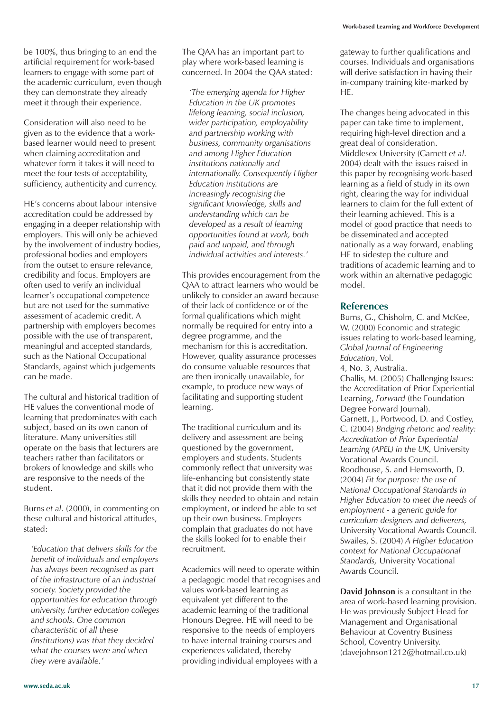be 100%, thus bringing to an end the artificial requirement for work-based learners to engage with some part of the academic curriculum, even though they can demonstrate they already meet it through their experience.

Consideration will also need to be given as to the evidence that a workbased learner would need to present when claiming accreditation and whatever form it takes it will need to meet the four tests of acceptability, sufficiency, authenticity and currency.

HE's concerns about labour intensive accreditation could be addressed by engaging in a deeper relationship with employers. This will only be achieved by the involvement of industry bodies, professional bodies and employers from the outset to ensure relevance, credibility and focus. Employers are often used to verify an individual learner's occupational competence but are not used for the summative assessment of academic credit. A partnership with employers becomes possible with the use of transparent, meaningful and accepted standards, such as the National Occupational Standards, against which judgements can be made.

The cultural and historical tradition of HE values the conventional mode of learning that predominates with each subject, based on its own canon of literature. Many universities still operate on the basis that lecturers are teachers rather than facilitators or brokers of knowledge and skills who are responsive to the needs of the student.

Burns *et al*. (2000), in commenting on these cultural and historical attitudes, stated:

*'Education that delivers skills for the benefit of individuals and employers has always been recognised as part of the infrastructure of an industrial society. Society provided the opportunities for education through university, further education colleges and schools. One common characteristic of all these (institutions) was that they decided what the courses were and when they were available.'*

The QAA has an important part to play where work-based learning is concerned. In 2004 the QAA stated:

*'The emerging agenda for Higher Education in the UK promotes lifelong learning, social inclusion, wider participation, employability and partnership working with business, community organisations and among Higher Education institutions nationally and internationally. Consequently Higher Education institutions are increasingly recognising the significant knowledge, skills and understanding which can be developed as a result of learning opportunities found at work, both paid and unpaid, and through individual activities and interests.'*

This provides encouragement from the QAA to attract learners who would be unlikely to consider an award because of their lack of confidence or of the formal qualifications which might normally be required for entry into a degree programme, and the mechanism for this is accreditation. However, quality assurance processes do consume valuable resources that are then ironically unavailable, for example, to produce new ways of facilitating and supporting student learning.

The traditional curriculum and its delivery and assessment are being questioned by the government, employers and students. Students commonly reflect that university was life-enhancing but consistently state that it did not provide them with the skills they needed to obtain and retain employment, or indeed be able to set up their own business. Employers complain that graduates do not have the skills looked for to enable their recruitment.

Academics will need to operate within a pedagogic model that recognises and values work-based learning as equivalent yet different to the academic learning of the traditional Honours Degree. HE will need to be responsive to the needs of employers to have internal training courses and experiences validated, thereby providing individual employees with a

gateway to further qualifications and courses. Individuals and organisations will derive satisfaction in having their in-company training kite-marked by HE.

The changes being advocated in this paper can take time to implement, requiring high-level direction and a great deal of consideration. Middlesex University (Garnett *et al*. 2004) dealt with the issues raised in this paper by recognising work-based learning as a field of study in its own right, clearing the way for individual learners to claim for the full extent of their learning achieved. This is a model of good practice that needs to be disseminated and accepted nationally as a way forward, enabling HE to sidestep the culture and traditions of academic learning and to work within an alternative pedagogic model.

#### **References**

Burns, G., Chisholm, C. and McKee, W. (2000) Economic and strategic issues relating to work-based learning, *Global Journal of Engineering Education*, Vol. 4, No. 3, Australia. Challis, M. (2005) Challenging Issues: the Accreditation of Prior Experiential Learning, *Forward* (the Foundation Degree Forward Journal). Garnett, J., Portwood, D. and Costley,

C. (2004) *Bridging rhetoric and reality: Accreditation of Prior Experiential Learning (APEL) in the UK,* University Vocational Awards Council. Roodhouse, S. and Hemsworth, D. (2004) *Fit for purpose: the use of National Occupational Standards in Higher Education to meet the needs of employment - a generic guide for curriculum designers and deliverers,* University Vocational Awards Council. Swailes, S. (2004) *A Higher Education context for National Occupational Standards,* University Vocational Awards Council.

**David Johnson** is a consultant in the area of work-based learning provision. He was previously Subject Head for Management and Organisational Behaviour at Coventry Business School, Coventry University. (davejohnson1212@hotmail.co.uk)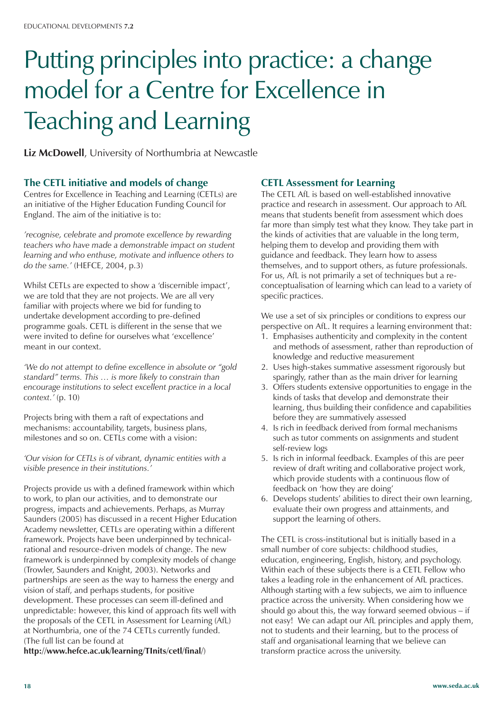# Putting principles into practice: a change model for a Centre for Excellence in Teaching and Learning

**Liz McDowell**, University of Northumbria at Newcastle

### **The CETL initiative and models of change**

Centres for Excellence in Teaching and Learning (CETLs) are an initiative of the Higher Education Funding Council for England. The aim of the initiative is to:

*'recognise, celebrate and promote excellence by rewarding teachers who have made a demonstrable impact on student learning and who enthuse, motivate and influence others to do the same.'* (HEFCE, 2004, p.3)

Whilst CETLs are expected to show a 'discernible impact', we are told that they are not projects. We are all very familiar with projects where we bid for funding to undertake development according to pre-defined programme goals. CETL is different in the sense that we were invited to define for ourselves what 'excellence' meant in our context.

*'We do not attempt to define excellence in absolute or "gold standard" terms. This … is more likely to constrain than encourage institutions to select excellent practice in a local context.'* (p. 10)

Projects bring with them a raft of expectations and mechanisms: accountability, targets, business plans, milestones and so on. CETLs come with a vision:

*'Our vision for CETLs is of vibrant, dynamic entities with a visible presence in their institutions.'*

Projects provide us with a defined framework within which to work, to plan our activities, and to demonstrate our progress, impacts and achievements. Perhaps, as Murray Saunders (2005) has discussed in a recent Higher Education Academy newsletter, CETLs are operating within a different framework. Projects have been underpinned by technicalrational and resource-driven models of change. The new framework is underpinned by complexity models of change (Trowler, Saunders and Knight, 2003). Networks and partnerships are seen as the way to harness the energy and vision of staff, and perhaps students, for positive development. These processes can seem ill-defined and unpredictable: however, this kind of approach fits well with the proposals of the CETL in Assessment for Learning (AfL) at Northumbria, one of the 74 CETLs currently funded. (The full list can be found at

**http://www.hefce.ac.uk/learning/TInits/cetl/final/**)

### **CETL Assessment for Learning**

The CETL AfL is based on well-established innovative practice and research in assessment. Our approach to AfL means that students benefit from assessment which does far more than simply test what they know. They take part in the kinds of activities that are valuable in the long term, helping them to develop and providing them with guidance and feedback. They learn how to assess themselves, and to support others, as future professionals. For us, AfL is not primarily a set of techniques but a reconceptualisation of learning which can lead to a variety of specific practices.

We use a set of six principles or conditions to express our perspective on AfL. It requires a learning environment that:

- 1. Emphasises authenticity and complexity in the content and methods of assessment, rather than reproduction of knowledge and reductive measurement
- 2. Uses high-stakes summative assessment rigorously but sparingly, rather than as the main driver for learning
- 3. Offers students extensive opportunities to engage in the kinds of tasks that develop and demonstrate their learning, thus building their confidence and capabilities before they are summatively assessed
- 4. Is rich in feedback derived from formal mechanisms such as tutor comments on assignments and student self-review logs
- 5. Is rich in informal feedback. Examples of this are peer review of draft writing and collaborative project work, which provide students with a continuous flow of feedback on 'how they are doing'
- 6. Develops students' abilities to direct their own learning, evaluate their own progress and attainments, and support the learning of others.

The CETL is cross-institutional but is initially based in a small number of core subjects: childhood studies, education, engineering, English, history, and psychology. Within each of these subjects there is a CETL Fellow who takes a leading role in the enhancement of AfL practices. Although starting with a few subjects, we aim to influence practice across the university. When considering how we should go about this, the way forward seemed obvious – if not easy! We can adapt our AfL principles and apply them, not to students and their learning, but to the process of staff and organisational learning that we believe can transform practice across the university.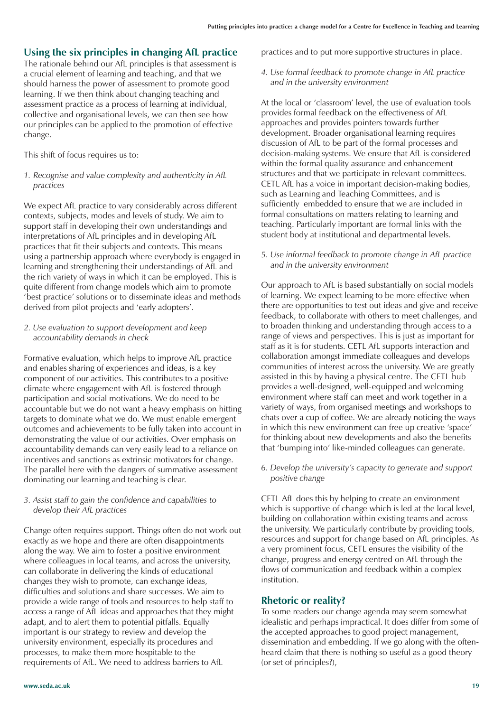### **Using the six principles in changing AfL practice**

The rationale behind our AfL principles is that assessment is a crucial element of learning and teaching, and that we should harness the power of assessment to promote good learning. If we then think about changing teaching and assessment practice as a process of learning at individual, collective and organisational levels, we can then see how our principles can be applied to the promotion of effective change.

This shift of focus requires us to:

*1. Recognise and value complexity and authenticity in AfL practices*

We expect AfL practice to vary considerably across different contexts, subjects, modes and levels of study. We aim to support staff in developing their own understandings and interpretations of AfL principles and in developing AfL practices that fit their subjects and contexts. This means using a partnership approach where everybody is engaged in learning and strengthening their understandings of AfL and the rich variety of ways in which it can be employed. This is quite different from change models which aim to promote 'best practice' solutions or to disseminate ideas and methods derived from pilot projects and 'early adopters'.

### *2. Use evaluation to support development and keep accountability demands in check*

Formative evaluation, which helps to improve AfL practice and enables sharing of experiences and ideas, is a key component of our activities. This contributes to a positive climate where engagement with AfL is fostered through participation and social motivations. We do need to be accountable but we do not want a heavy emphasis on hitting targets to dominate what we do. We must enable emergent outcomes and achievements to be fully taken into account in demonstrating the value of our activities. Over emphasis on accountability demands can very easily lead to a reliance on incentives and sanctions as extrinsic motivators for change. The parallel here with the dangers of summative assessment dominating our learning and teaching is clear.

#### *3. Assist staff to gain the confidence and capabilities to develop their AfL practices*

Change often requires support. Things often do not work out exactly as we hope and there are often disappointments along the way. We aim to foster a positive environment where colleagues in local teams, and across the university, can collaborate in delivering the kinds of educational changes they wish to promote, can exchange ideas, difficulties and solutions and share successes. We aim to provide a wide range of tools and resources to help staff to access a range of AfL ideas and approaches that they might adapt, and to alert them to potential pitfalls. Equally important is our strategy to review and develop the university environment, especially its procedures and processes, to make them more hospitable to the requirements of AfL. We need to address barriers to AfL

practices and to put more supportive structures in place.

*4. Use formal feedback to promote change in AfL practice and in the university environment*

At the local or 'classroom' level, the use of evaluation tools provides formal feedback on the effectiveness of AfL approaches and provides pointers towards further development. Broader organisational learning requires discussion of AfL to be part of the formal processes and decision-making systems. We ensure that AfL is considered within the formal quality assurance and enhancement structures and that we participate in relevant committees. CETL AfL has a voice in important decision-making bodies, such as Learning and Teaching Committees, and is sufficiently embedded to ensure that we are included in formal consultations on matters relating to learning and teaching. Particularly important are formal links with the student body at institutional and departmental levels.

*5. Use informal feedback to promote change in AfL practice and in the university environment*

Our approach to AfL is based substantially on social models of learning. We expect learning to be more effective when there are opportunities to test out ideas and give and receive feedback, to collaborate with others to meet challenges, and to broaden thinking and understanding through access to a range of views and perspectives. This is just as important for staff as it is for students. CETL AfL supports interaction and collaboration amongst immediate colleagues and develops communities of interest across the university. We are greatly assisted in this by having a physical centre. The CETL hub provides a well-designed, well-equipped and welcoming environment where staff can meet and work together in a variety of ways, from organised meetings and workshops to chats over a cup of coffee. We are already noticing the ways in which this new environment can free up creative 'space' for thinking about new developments and also the benefits that 'bumping into' like-minded colleagues can generate.

*6. Develop the university's capacity to generate and support positive change*

CETL AfL does this by helping to create an environment which is supportive of change which is led at the local level, building on collaboration within existing teams and across the university. We particularly contribute by providing tools, resources and support for change based on AfL principles. As a very prominent focus, CETL ensures the visibility of the change, progress and energy centred on AfL through the flows of communication and feedback within a complex institution.

### **Rhetoric or reality?**

To some readers our change agenda may seem somewhat idealistic and perhaps impractical. It does differ from some of the accepted approaches to good project management, dissemination and embedding. If we go along with the oftenheard claim that there is nothing so useful as a good theory (or set of principles?),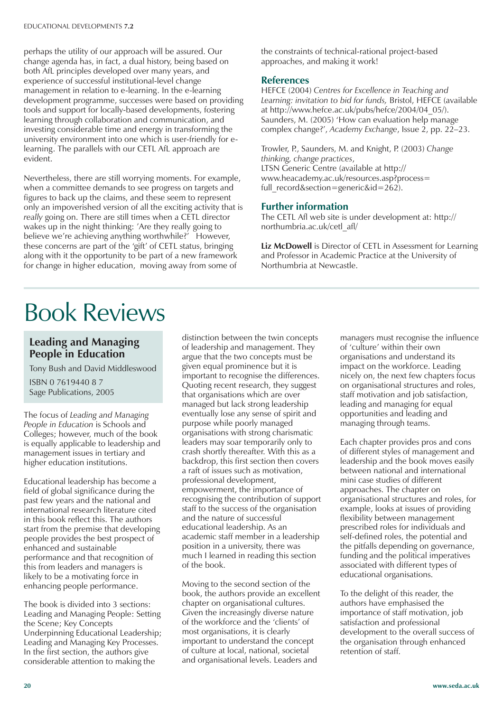perhaps the utility of our approach will be assured. Our change agenda has, in fact, a dual history, being based on both AfL principles developed over many years, and experience of successful institutional-level change management in relation to e-learning. In the e-learning development programme, successes were based on providing tools and support for locally-based developments, fostering learning through collaboration and communication, and investing considerable time and energy in transforming the university environment into one which is user-friendly for elearning. The parallels with our CETL AfL approach are evident.

Nevertheless, there are still worrying moments. For example, when a committee demands to see progress on targets and figures to back up the claims, and these seem to represent only an impoverished version of all the exciting activity that is *really* going on. There are still times when a CETL director wakes up in the night thinking: 'Are they really going to believe we're achieving anything worthwhile?' However, these concerns are part of the 'gift' of CETL status, bringing along with it the opportunity to be part of a new framework for change in higher education, moving away from some of

the constraints of technical-rational project-based approaches, and making it work!

### **References**

HEFCE (2004) *Centres for Excellence in Teaching and Learning: invitation to bid for funds,* Bristol, HEFCE (available at http://www.hefce.ac.uk/pubs/hefce/2004/04\_05/). Saunders, M. (2005) 'How can evaluation help manage complex change?', *Academy Exchange*, Issue 2, pp. 22–23.

Trowler, P., Saunders, M. and Knight, P. (2003) *Change thinking, change practices*, LTSN Generic Centre (available at http:**//** www.heacademy.ac.uk/resources.asp?process= full\_record&section=generic&id=262).

### **Further information**

The CETL Afl web site is under development at: http:// northumbria.ac.uk/cetl\_afl/

**Liz McDowell** is Director of CETL in Assessment for Learning and Professor in Academic Practice at the University of Northumbria at Newcastle.

## Book Reviews

### **Leading and Managing People in Education**

Tony Bush and David Middleswood

ISBN 0 7619440 8 7 Sage Publications, 2005

The focus of *Leading and Managing People in Education* is Schools and Colleges; however, much of the book is equally applicable to leadership and management issues in tertiary and higher education institutions.

Educational leadership has become a field of global significance during the past few years and the national and international research literature cited in this book reflect this. The authors start from the premise that developing people provides the best prospect of enhanced and sustainable performance and that recognition of this from leaders and managers is likely to be a motivating force in enhancing people performance.

The book is divided into 3 sections: Leading and Managing People: Setting the Scene; Key Concepts Underpinning Educational Leadership; Leading and Managing Key Processes. In the first section, the authors give considerable attention to making the

distinction between the twin concepts of leadership and management. They argue that the two concepts must be given equal prominence but it is important to recognise the differences. Quoting recent research, they suggest that organisations which are over managed but lack strong leadership eventually lose any sense of spirit and purpose while poorly managed organisations with strong charismatic leaders may soar temporarily only to crash shortly thereafter. With this as a backdrop, this first section then covers a raft of issues such as motivation, professional development, empowerment, the importance of recognising the contribution of support staff to the success of the organisation and the nature of successful educational leadership. As an academic staff member in a leadership position in a university, there was much I learned in reading this section of the book.

Moving to the second section of the book, the authors provide an excellent chapter on organisational cultures. Given the increasingly diverse nature of the workforce and the 'clients' of most organisations, it is clearly important to understand the concept of culture at local, national, societal and organisational levels. Leaders and

managers must recognise the influence of 'culture' within their own organisations and understand its impact on the workforce. Leading nicely on, the next few chapters focus on organisational structures and roles, staff motivation and job satisfaction, leading and managing for equal opportunities and leading and managing through teams.

Each chapter provides pros and cons of different styles of management and leadership and the book moves easily between national and international mini case studies of different approaches. The chapter on organisational structures and roles, for example, looks at issues of providing flexibility between management prescribed roles for individuals and self-defined roles, the potential and the pitfalls depending on governance, funding and the political imperatives associated with different types of educational organisations.

To the delight of this reader, the authors have emphasised the importance of staff motivation, job satisfaction and professional development to the overall success of the organisation through enhanced retention of staff.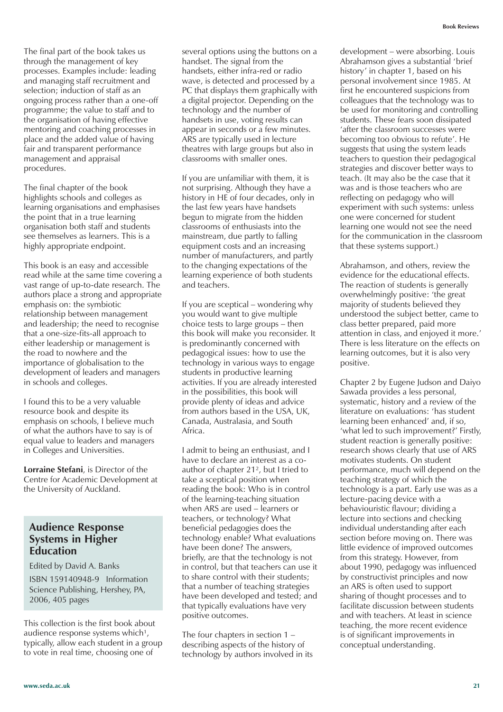The final part of the book takes us through the management of key processes. Examples include: leading and managing staff recruitment and selection; induction of staff as an ongoing process rather than a one-off programme; the value to staff and to the organisation of having effective mentoring and coaching processes in place and the added value of having fair and transparent performance management and appraisal procedures.

The final chapter of the book highlights schools and colleges as learning organisations and emphasises the point that in a true learning organisation both staff and students see themselves as learners. This is a highly appropriate endpoint.

This book is an easy and accessible read while at the same time covering a vast range of up-to-date research. The authors place a strong and appropriate emphasis on: the symbiotic relationship between management and leadership; the need to recognise that a one-size-fits-all approach to either leadership or management is the road to nowhere and the importance of globalisation to the development of leaders and managers in schools and colleges.

I found this to be a very valuable resource book and despite its emphasis on schools, I believe much of what the authors have to say is of equal value to leaders and managers in Colleges and Universities.

**Lorraine Stefani**, is Director of the Centre for Academic Development at the University of Auckland.

### **Audience Response Systems in Higher Education**

Edited by David A. Banks

ISBN 159140948-9 Information Science Publishing, Hershey, PA, 2006, 405 pages

This collection is the first book about audience response systems which<sup>1</sup>, typically, allow each student in a group to vote in real time, choosing one of

several options using the buttons on a handset. The signal from the handsets, either infra-red or radio wave, is detected and processed by a PC that displays them graphically with a digital projector. Depending on the technology and the number of handsets in use, voting results can appear in seconds or a few minutes. ARS are typically used in lecture theatres with large groups but also in classrooms with smaller ones.

If you are unfamiliar with them, it is not surprising. Although they have a history in HE of four decades, only in the last few years have handsets begun to migrate from the hidden classrooms of enthusiasts into the mainstream, due partly to falling equipment costs and an increasing number of manufacturers, and partly to the changing expectations of the learning experience of both students and teachers.

If you are sceptical – wondering why you would want to give multiple choice tests to large groups – then this book will make you reconsider. It is predominantly concerned with pedagogical issues: how to use the technology in various ways to engage students in productive learning activities. If you are already interested in the possibilities, this book will provide plenty of ideas and advice from authors based in the USA, UK, Canada, Australasia, and South Africa.

I admit to being an enthusiast, and I have to declare an interest as a coauthor of chapter 21², but I tried to take a sceptical position when reading the book: Who is in control of the learning-teaching situation when ARS are used – learners or teachers, or technology? What beneficial pedagogies does the technology enable? What evaluations have been done? The answers, briefly, are that the technology is not in control, but that teachers can use it to share control with their students; that a number of teaching strategies have been developed and tested; and that typically evaluations have very positive outcomes.

The four chapters in section 1 – describing aspects of the history of technology by authors involved in its

development – were absorbing. Louis Abrahamson gives a substantial 'brief history' in chapter 1, based on his personal involvement since 1985. At first he encountered suspicions from colleagues that the technology was to be used for monitoring and controlling students. These fears soon dissipated 'after the classroom successes were becoming too obvious to refute'. He suggests that using the system leads teachers to question their pedagogical strategies and discover better ways to teach. (It may also be the case that it was and is those teachers who are reflecting on pedagogy who will experiment with such systems: unless one were concerned for student learning one would not see the need for the communication in the classroom that these systems support.)

Abrahamson, and others, review the evidence for the educational effects. The reaction of students is generally overwhelmingly positive: 'the great majority of students believed they understood the subject better, came to class better prepared, paid more attention in class, and enjoyed it more.' There is less literature on the effects on learning outcomes, but it is also very positive.

Chapter 2 by Eugene Judson and Daiyo Sawada provides a less personal, systematic, history and a review of the literature on evaluations: 'has student learning been enhanced' and, if so, 'what led to such improvement?' Firstly, student reaction is generally positive: research shows clearly that use of ARS motivates students. On student performance, much will depend on the teaching strategy of which the technology is a part. Early use was as a lecture-pacing device with a behaviouristic flavour; dividing a lecture into sections and checking individual understanding after each section before moving on. There was little evidence of improved outcomes from this strategy. However, from about 1990, pedagogy was influenced by constructivist principles and now an ARS is often used to support sharing of thought processes and to facilitate discussion between students and with teachers. At least in science teaching, the more recent evidence is of significant improvements in conceptual understanding.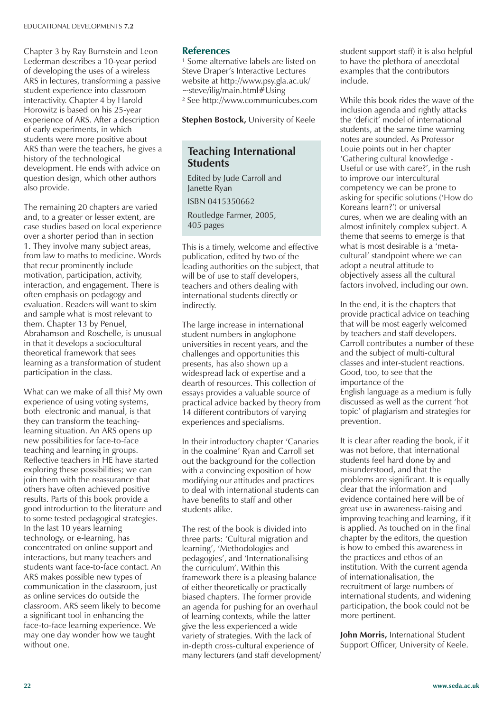Chapter 3 by Ray Burnstein and Leon Lederman describes a 10-year period of developing the uses of a wireless ARS in lectures, transforming a passive student experience into classroom interactivity. Chapter 4 by Harold Horowitz is based on his 25-year experience of ARS. After a description of early experiments, in which students were more positive about ARS than were the teachers, he gives a history of the technological development. He ends with advice on question design, which other authors also provide.

The remaining 20 chapters are varied and, to a greater or lesser extent, are case studies based on local experience over a shorter period than in section 1. They involve many subject areas, from law to maths to medicine. Words that recur prominently include motivation, participation, activity, interaction, and engagement. There is often emphasis on pedagogy and evaluation. Readers will want to skim and sample what is most relevant to them. Chapter 13 by Penuel, Abrahamson and Roschelle, is unusual in that it develops a sociocultural theoretical framework that sees learning as a transformation of student participation in the class.

What can we make of all this? My own experience of using voting systems, both electronic and manual, is that they can transform the teachinglearning situation. An ARS opens up new possibilities for face-to-face teaching and learning in groups. Reflective teachers in HE have started exploring these possibilities; we can join them with the reassurance that others have often achieved positive results. Parts of this book provide a good introduction to the literature and to some tested pedagogical strategies. In the last 10 years learning technology, or e-learning, has concentrated on online support and interactions, but many teachers and students want face-to-face contact. An ARS makes possible new types of communication in the classroom, just as online services do outside the classroom. ARS seem likely to become a significant tool in enhancing the face-to-face learning experience. We may one day wonder how we taught without one.

### **References**

<sup>1</sup> Some alternative labels are listed on Steve Draper's Interactive Lectures website at http://www.psy.gla.ac.uk/  $\sim$ steve/ilig/main.html#Using ² See http://www.communicubes.com

**Stephen Bostock,** University of Keele

### **Teaching International Students**

Edited by Jude Carroll and Janette Ryan

ISBN 0415350662

Routledge Farmer, 2005, 405 pages

This is a timely, welcome and effective publication, edited by two of the leading authorities on the subject, that will be of use to staff developers, teachers and others dealing with international students directly or indirectly.

The large increase in international student numbers in anglophone universities in recent years, and the challenges and opportunities this presents, has also shown up a widespread lack of expertise and a dearth of resources. This collection of essays provides a valuable source of practical advice backed by theory from 14 different contributors of varying experiences and specialisms.

In their introductory chapter 'Canaries in the coalmine' Ryan and Carroll set out the background for the collection with a convincing exposition of how modifying our attitudes and practices to deal with international students can have benefits to staff and other students alike.

The rest of the book is divided into three parts: 'Cultural migration and learning', 'Methodologies and pedagogies', and 'Internationalising the curriculum'. Within this framework there is a pleasing balance of either theoretically or practically biased chapters. The former provide an agenda for pushing for an overhaul of learning contexts, while the latter give the less experienced a wide variety of strategies. With the lack of in-depth cross-cultural experience of many lecturers (and staff development/ student support staff) it is also helpful to have the plethora of anecdotal examples that the contributors include.

While this book rides the wave of the inclusion agenda and rightly attacks the 'deficit' model of international students, at the same time warning notes are sounded. As Professor Louie points out in her chapter 'Gathering cultural knowledge - Useful or use with care?', in the rush to improve our intercultural competency we can be prone to asking for specific solutions ('How do Koreans learn?') or universal cures, when we are dealing with an almost infinitely complex subject. A theme that seems to emerge is that what is most desirable is a 'metacultural' standpoint where we can adopt a neutral attitude to objectively assess all the cultural factors involved, including our own.

In the end, it is the chapters that provide practical advice on teaching that will be most eagerly welcomed by teachers and staff developers. Carroll contributes a number of these and the subject of multi-cultural classes and inter-student reactions. Good, too, to see that the importance of the English language as a medium is fully discussed as well as the current 'hot topic' of plagiarism and strategies for prevention.

It is clear after reading the book, if it was not before, that international students feel hard done by and misunderstood, and that the problems are significant. It is equally clear that the information and evidence contained here will be of great use in awareness-raising and improving teaching and learning, if it is applied. As touched on in the final chapter by the editors, the question is how to embed this awareness in the practices and ethos of an institution. With the current agenda of internationalisation, the recruitment of large numbers of international students, and widening participation, the book could not be more pertinent.

**John Morris, International Student** Support Officer, University of Keele.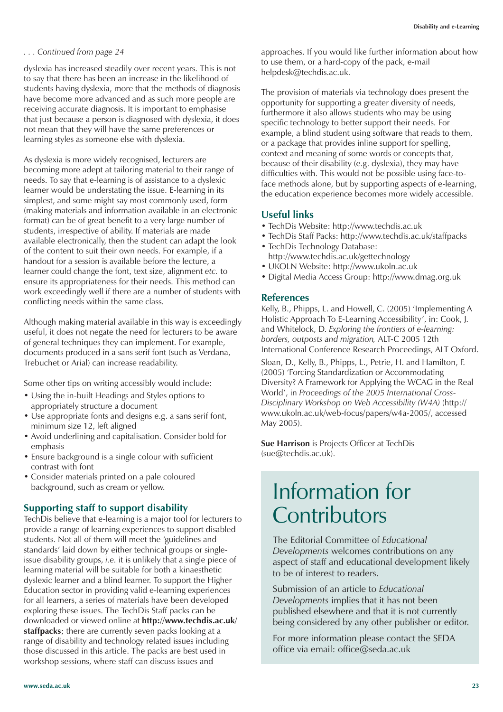#### *. . . Continued from page 24*

dyslexia has increased steadily over recent years. This is not to say that there has been an increase in the likelihood of students having dyslexia, more that the methods of diagnosis have become more advanced and as such more people are receiving accurate diagnosis. It is important to emphasise that just because a person is diagnosed with dyslexia, it does not mean that they will have the same preferences or learning styles as someone else with dyslexia.

As dyslexia is more widely recognised, lecturers are becoming more adept at tailoring material to their range of needs. To say that e-learning is of assistance to a dyslexic learner would be understating the issue. E-learning in its simplest, and some might say most commonly used, form (making materials and information available in an electronic format) can be of great benefit to a very large number of students, irrespective of ability. If materials are made available electronically, then the student can adapt the look of the content to suit their own needs. For example, if a handout for a session is available before the lecture, a learner could change the font, text size, alignment *etc.* to ensure its appropriateness for their needs. This method can work exceedingly well if there are a number of students with conflicting needs within the same class.

Although making material available in this way is exceedingly useful, it does not negate the need for lecturers to be aware of general techniques they can implement. For example, documents produced in a sans serif font (such as Verdana, Trebuchet or Arial) can increase readability.

Some other tips on writing accessibly would include:

- Using the in-built Headings and Styles options to appropriately structure a document
- Use appropriate fonts and designs e.g. a sans serif font, minimum size 12, left aligned
- Avoid underlining and capitalisation. Consider bold for emphasis
- Ensure background is a single colour with sufficient contrast with font
- Consider materials printed on a pale coloured background, such as cream or yellow.

### **Supporting staff to support disability**

TechDis believe that e-learning is a major tool for lecturers to provide a range of learning experiences to support disabled students. Not all of them will meet the 'guidelines and standards' laid down by either technical groups or singleissue disability groups, *i.e.* it is unlikely that a single piece of learning material will be suitable for both a kinaesthetic dyslexic learner and a blind learner. To support the Higher Education sector in providing valid e-learning experiences for all learners, a series of materials have been developed exploring these issues. The TechDis Staff packs can be downloaded or viewed online at **http://www.techdis.ac.uk/ staffpacks**; there are currently seven packs looking at a range of disability and technology related issues including those discussed in this article. The packs are best used in workshop sessions, where staff can discuss issues and

approaches. If you would like further information about how to use them, or a hard-copy of the pack, e-mail helpdesk@techdis.ac.uk.

The provision of materials via technology does present the opportunity for supporting a greater diversity of needs, furthermore it also allows students who may be using specific technology to better support their needs. For example, a blind student using software that reads to them, or a package that provides inline support for spelling, context and meaning of some words or concepts that, because of their disability (e.g. dyslexia), they may have difficulties with. This would not be possible using face-toface methods alone, but by supporting aspects of e-learning, the education experience becomes more widely accessible.

### **Useful links**

- TechDis Website: http://www.techdis.ac.uk
- TechDis Staff Packs: http://www.techdis.ac.uk/staffpacks • TechDis Technology Database:
- http://www.techdis.ac.uk/gettechnology
- UKOLN Website: http://www.ukoln.ac.uk
- Digital Media Access Group: http://www.dmag.org.uk

### **References**

Kelly, B., Phipps, L. and Howell, C. (2005) 'Implementing A Holistic Approach To E-Learning Accessibility', in: Cook, J. and Whitelock, D. *Exploring the frontiers of e-learning: borders, outposts and migration,* ALT-C 2005 12th International Conference Research Proceedings, ALT Oxford.

Sloan, D., Kelly, B., Phipps, L., Petrie, H. and Hamilton, F. (2005) 'Forcing Standardization or Accommodating Diversity? A Framework for Applying the WCAG in the Real World', in *Proceedings of the 2005 International Cross-Disciplinary Workshop on Web Accessibility (W4A)* (http:// www.ukoln.ac.uk/web-focus/papers/w4a-2005/, accessed May 2005).

**Sue Harrison** is Projects Officer at TechDis (sue@techdis.ac.uk).

### Information for **Contributors**

The Editorial Committee of *Educational Developments* welcomes contributions on any aspect of staff and educational development likely to be of interest to readers.

Submission of an article to *Educational Developments* implies that it has not been published elsewhere and that it is not currently being considered by any other publisher or editor.

For more information please contact the SEDA office via email: office@seda.ac.uk